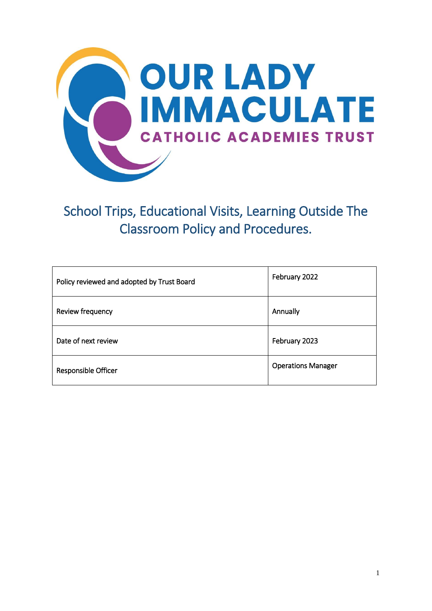

School Trips, Educational Visits, Learning Outside The Classroom Policy and Procedures.

| Policy reviewed and adopted by Trust Board | February 2022             |
|--------------------------------------------|---------------------------|
| Review frequency                           | Annually                  |
| Date of next review                        | February 2023             |
| Responsible Officer                        | <b>Operations Manager</b> |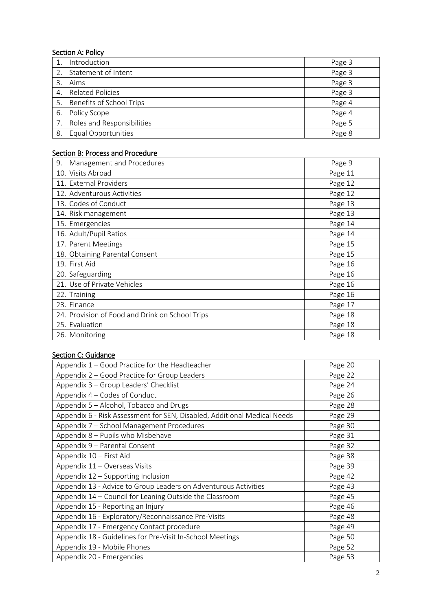# **Section A: Policy**

|    | Introduction                | Page 3 |
|----|-----------------------------|--------|
|    | Statement of Intent         | Page 3 |
| 3  | Aims                        | Page 3 |
|    | 4. Related Policies         | Page 3 |
|    | 5. Benefits of School Trips | Page 4 |
| 6. | Policy Scope                | Page 4 |
|    | Roles and Responsibilities  | Page 5 |
| 8. | Equal Opportunities         | Page 8 |

# Section B: Process and Procedure

| Management and Procedures<br>9.                 | Page 9  |
|-------------------------------------------------|---------|
| 10. Visits Abroad                               | Page 11 |
| 11. External Providers                          | Page 12 |
| 12. Adventurous Activities                      | Page 12 |
| 13. Codes of Conduct                            | Page 13 |
| 14. Risk management                             | Page 13 |
| 15. Emergencies                                 | Page 14 |
| 16. Adult/Pupil Ratios                          | Page 14 |
| 17. Parent Meetings                             | Page 15 |
| 18. Obtaining Parental Consent                  | Page 15 |
| 19. First Aid                                   | Page 16 |
| 20. Safeguarding                                | Page 16 |
| 21. Use of Private Vehicles                     | Page 16 |
| 22. Training                                    | Page 16 |
| 23. Finance                                     | Page 17 |
| 24. Provision of Food and Drink on School Trips | Page 18 |
| 25. Evaluation                                  | Page 18 |
| 26. Monitoring                                  | Page 18 |

# Section C: Guidance

| Appendix 1 - Good Practice for the Headteacher                           | Page 20 |
|--------------------------------------------------------------------------|---------|
| Appendix 2 – Good Practice for Group Leaders                             | Page 22 |
| Appendix 3 - Group Leaders' Checklist                                    | Page 24 |
| Appendix 4 – Codes of Conduct                                            | Page 26 |
| Appendix 5 - Alcohol, Tobacco and Drugs                                  | Page 28 |
| Appendix 6 - Risk Assessment for SEN, Disabled, Additional Medical Needs | Page 29 |
| Appendix 7 - School Management Procedures                                | Page 30 |
| Appendix 8 - Pupils who Misbehave                                        | Page 31 |
| Appendix 9 - Parental Consent                                            | Page 32 |
| Appendix 10 - First Aid                                                  | Page 38 |
| Appendix 11 - Overseas Visits                                            | Page 39 |
| Appendix 12 - Supporting Inclusion                                       | Page 42 |
| Appendix 13 - Advice to Group Leaders on Adventurous Activities          | Page 43 |
| Appendix 14 - Council for Leaning Outside the Classroom                  | Page 45 |
| Appendix 15 - Reporting an Injury                                        | Page 46 |
| Appendix 16 - Exploratory/Reconnaissance Pre-Visits                      | Page 48 |
| Appendix 17 - Emergency Contact procedure                                | Page 49 |
| Appendix 18 - Guidelines for Pre-Visit In-School Meetings                | Page 50 |
| Appendix 19 - Mobile Phones                                              | Page 52 |
| Appendix 20 - Emergencies                                                | Page 53 |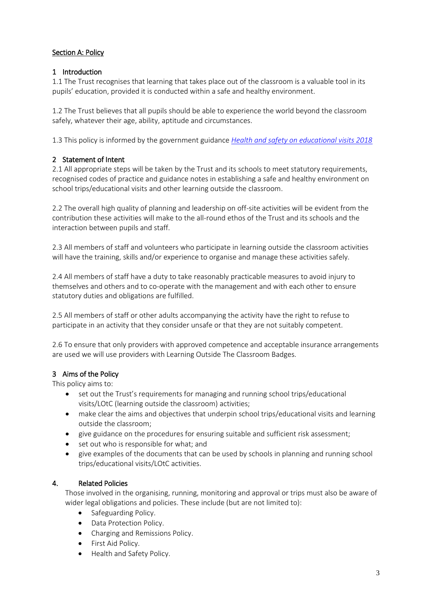# Section A: Policy

# 1 Introduction

1.1 The Trust recognises that learning that takes place out of the classroom is a valuable tool in its pupils' education, provided it is conducted within a safe and healthy environment.

1.2 The Trust believes that all pupils should be able to experience the world beyond the classroom safely, whatever their age, ability, aptitude and circumstances.

1.3 This policy is informed by the government guidance *[Health and safety on educational visits 2018](https://www.gov.uk/government/publications/health-and-safety-on-educational-visits)*

# 2 Statement of Intent

2.1 All appropriate steps will be taken by the Trust and its schools to meet statutory requirements, recognised codes of practice and guidance notes in establishing a safe and healthy environment on school trips/educational visits and other learning outside the classroom.

2.2 The overall high quality of planning and leadership on off-site activities will be evident from the contribution these activities will make to the all-round ethos of the Trust and its schools and the interaction between pupils and staff.

2.3 All members of staff and volunteers who participate in learning outside the classroom activities will have the training, skills and/or experience to organise and manage these activities safely.

2.4 All members of staff have a duty to take reasonably practicable measures to avoid injury to themselves and others and to co-operate with the management and with each other to ensure statutory duties and obligations are fulfilled.

2.5 All members of staff or other adults accompanying the activity have the right to refuse to participate in an activity that they consider unsafe or that they are not suitably competent.

2.6 To ensure that only providers with approved competence and acceptable insurance arrangements are used we will use providers with Learning Outside The Classroom Badges.

# 3 Aims of the Policy

This policy aims to:

- set out the Trust's requirements for managing and running school trips/educational visits/LOtC (learning outside the classroom) activities;
- make clear the aims and objectives that underpin school trips/educational visits and learning outside the classroom;
- give guidance on the procedures for ensuring suitable and sufficient risk assessment;
- set out who is responsible for what; and
- give examples of the documents that can be used by schools in planning and running school trips/educational visits/LOtC activities.

# 4. Related Policies

Those involved in the organising, running, monitoring and approval or trips must also be aware of wider legal obligations and policies. These include (but are not limited to):

- Safeguarding Policy.
- Data Protection Policy.
- Charging and Remissions Policy.
- First Aid Policy.
- Health and Safety Policy.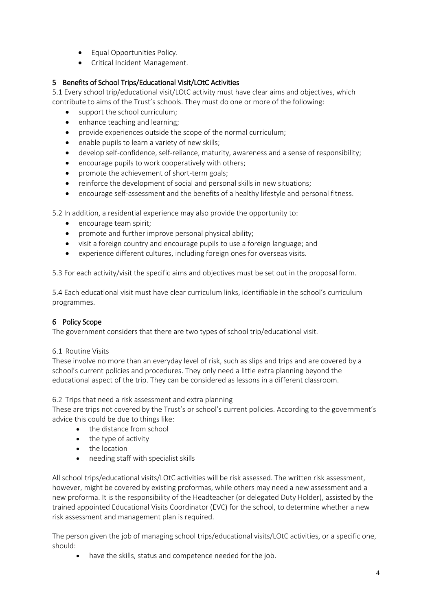- Equal Opportunities Policy.
- Critical Incident Management.

# 5 Benefits of School Trips/Educational Visit/LOtC Activities

5.1 Every school trip/educational visit/LOtC activity must have clear aims and objectives, which contribute to aims of the Trust's schools. They must do one or more of the following:

- support the school curriculum;
- enhance teaching and learning;
- provide experiences outside the scope of the normal curriculum;
- enable pupils to learn a variety of new skills;
- develop self-confidence, self-reliance, maturity, awareness and a sense of responsibility;
- encourage pupils to work cooperatively with others;
- promote the achievement of short-term goals;
- reinforce the development of social and personal skills in new situations;
- encourage self-assessment and the benefits of a healthy lifestyle and personal fitness.

5.2 In addition, a residential experience may also provide the opportunity to:

- encourage team spirit;
- promote and further improve personal physical ability;
- visit a foreign country and encourage pupils to use a foreign language; and
- experience different cultures, including foreign ones for overseas visits.

5.3 For each activity/visit the specific aims and objectives must be set out in the proposal form.

5.4 Each educational visit must have clear curriculum links, identifiable in the school's curriculum programmes.

# 6 Policy Scope

The government considers that there are two types of school trip/educational visit.

# 6.1 Routine Visits

These involve no more than an everyday level of risk, such as slips and trips and are covered by a school's current policies and procedures. They only need a little extra planning beyond the educational aspect of the trip. They can be considered as lessons in a different classroom.

6.2 Trips that need a risk assessment and extra planning

These are trips not covered by the Trust's or school's current policies. According to the government's advice this could be due to things like:

- the distance from school
- the type of activity
- the location
- needing staff with specialist skills

All school trips/educational visits/LOtC activities will be risk assessed. The written risk assessment, however, might be covered by existing proformas, while others may need a new assessment and a new proforma. It is the responsibility of the Headteacher (or delegated Duty Holder), assisted by the trained appointed Educational Visits Coordinator (EVC) for the school, to determine whether a new risk assessment and management plan is required.

The person given the job of managing school trips/educational visits/LOtC activities, or a specific one, should:

• have the skills, status and [competence](https://www.gov.uk/government/publications/health-and-safety-on-educational-visits/health-and-safety-on-educational-visits#educationalvisistscoorindator) needed for the job.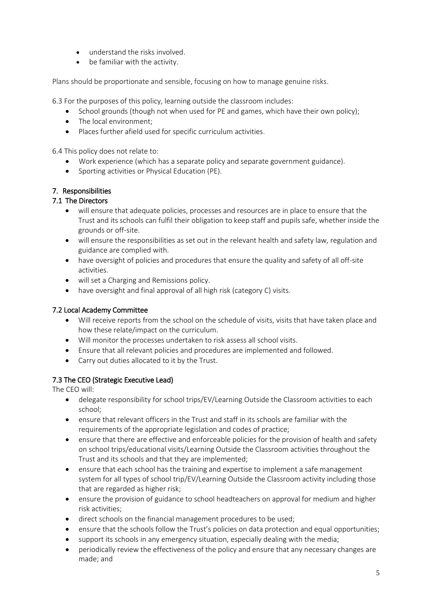- understand the risks involved.
- be familiar with the activity.

Plans should be proportionate and sensible, focusing on how to manage genuine risks.

6.3 For the purposes of this policy, learning outside the classroom includes:

- School grounds (though not when used for PE and games, which have their own policy);
- The local environment;
- Places further afield used for specific curriculum activities.

6.4 This policy does not relate to:

- Work experience (which has a separate policy and separate government guidance).
- Sporting activities or Physical Education (PE).

# 7. Responsibilities

# 7.1 The Directors

- will ensure that adequate policies, processes and resources are in place to ensure that the Trust and its schools can fulfil their obligation to keep staff and pupils safe, whether inside the grounds or off-site.
- will ensure the responsibilities as set out in the relevant health and safety law, regulation and guidance are complied with.
- have oversight of policies and procedures that ensure the quality and safety of all off-site activities.
- will set a Charging and Remissions policy.
- have oversight and final approval of all high risk (category C) visits.

# 7.2 Local Academy Committee

- Will receive reports from the school on the schedule of visits, visits that have taken place and how these relate/impact on the curriculum.
- Will monitor the processes undertaken to risk assess all school visits.
- Ensure that all relevant policies and procedures are implemented and followed.
- Carry out duties allocated to it by the Trust.

# 7.3 The CEO (Strategic Executive Lead)

The CEO will:

- delegate responsibility for school trips/EV/Learning Outside the Classroom activities to each school;
- ensure that relevant officers in the Trust and staff in its schools are familiar with the requirements of the appropriate legislation and codes of practice;
- ensure that there are effective and enforceable policies for the provision of health and safety on school trips/educational visits/Learning Outside the Classroom activities throughout the Trust and its schools and that they are implemented;
- ensure that each school has the training and expertise to implement a safe management system for all types of school trip/EV/Learning Outside the Classroom activity including those that are regarded as higher risk;
- ensure the provision of guidance to school headteachers on approval for medium and higher risk activities;
- direct schools on the financial management procedures to be used;
- ensure that the schools follow the Trust's policies on data protection and equal opportunities;
- support its schools in any emergency situation, especially dealing with the media;
- periodically review the effectiveness of the policy and ensure that any necessary changes are made; and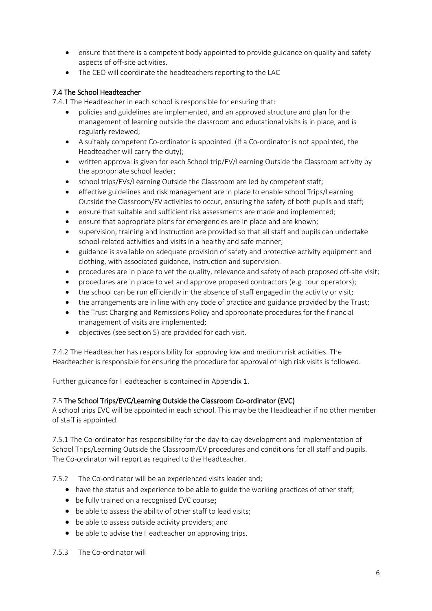- ensure that there is a competent body appointed to provide guidance on quality and safety aspects of off-site activities.
- The CEO will coordinate the headteachers reporting to the LAC

# 7.4 The School Headteacher

7.4.1 The Headteacher in each school is responsible for ensuring that:

- policies and guidelines are implemented, and an approved structure and plan for the management of learning outside the classroom and educational visits is in place, and is regularly reviewed;
- A suitably competent Co-ordinator is appointed. (If a Co-ordinator is not appointed, the Headteacher will carry the duty);
- written approval is given for each School trip/EV/Learning Outside the Classroom activity by the appropriate school leader;
- school trips/EVs/Learning Outside the Classroom are led by competent staff;
- effective guidelines and risk management are in place to enable school Trips/Learning Outside the Classroom/EV activities to occur, ensuring the safety of both pupils and staff;
- ensure that suitable and sufficient risk assessments are made and implemented;
- ensure that appropriate plans for emergencies are in place and are known;
- supervision, training and instruction are provided so that all staff and pupils can undertake school-related activities and visits in a healthy and safe manner;
- guidance is available on adequate provision of safety and protective activity equipment and clothing, with associated guidance, instruction and supervision.
- procedures are in place to vet the quality, relevance and safety of each proposed off-site visit;
- procedures are in place to vet and approve proposed contractors (e.g. tour operators);
- the school can be run efficiently in the absence of staff engaged in the activity or visit;
- the arrangements are in line with any code of practice and guidance provided by the Trust;
- the Trust Charging and Remissions Policy and appropriate procedures for the financial management of visits are implemented;
- objectives (see section 5) are provided for each visit.

7.4.2 The Headteacher has responsibility for approving low and medium risk activities. The Headteacher is responsible for ensuring the procedure for approval of high risk visits is followed.

Further guidance for Headteacher is contained in Appendix 1.

# 7.5 The School Trips/EVC/Learning Outside the Classroom Co-ordinator (EVC)

A school trips EVC will be appointed in each school. This may be the Headteacher if no other member of staff is appointed.

7.5.1 The Co-ordinator has responsibility for the day-to-day development and implementation of School Trips/Learning Outside the Classroom/EV procedures and conditions for all staff and pupils. The Co-ordinator will report as required to the Headteacher.

7.5.2 The Co-ordinator will be an experienced visits leader and;

- have the status and experience to be able to guide the working practices of other staff;
- be fully trained on a recognised EVC course;
- be able to assess the ability of other staff to lead visits;
- be able to assess outside activity providers; and
- be able to advise the Headteacher on approving trips.

# 7.5.3 The Co-ordinator will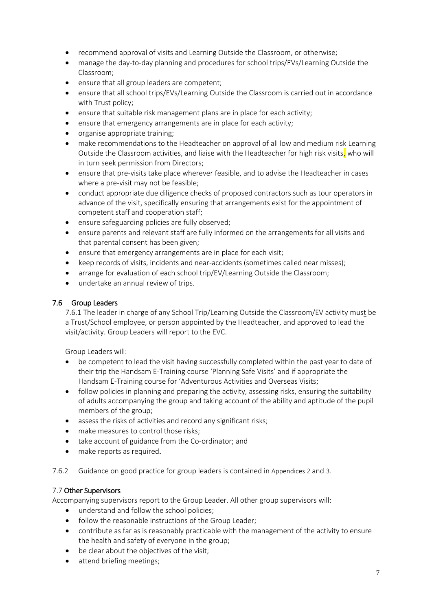- recommend approval of visits and Learning Outside the Classroom, or otherwise;
- manage the day-to-day planning and procedures for school trips/EVs/Learning Outside the Classroom;
- ensure that all group leaders are competent;
- ensure that all school trips/EVs/Learning Outside the Classroom is carried out in accordance with Trust policy;
- ensure that suitable risk management plans are in place for each activity;
- ensure that emergency arrangements are in place for each activity;
- organise appropriate training;
- make recommendations to the Headteacher on approval of all low and medium risk Learning Outside the Classroom activities, and liaise with the Headteacher for high risk visits, who will in turn seek permission from Directors;
- ensure that pre-visits take place wherever feasible, and to advise the Headteacher in cases where a pre-visit may not be feasible;
- conduct appropriate due diligence checks of proposed contractors such as tour operators in advance of the visit, specifically ensuring that arrangements exist for the appointment of competent staff and cooperation staff;
- ensure safeguarding policies are fully observed;
- ensure parents and relevant staff are fully informed on the arrangements for all visits and that parental consent has been given;
- ensure that emergency arrangements are in place for each visit;
- keep records of visits, incidents and near-accidents (sometimes called near misses);
- arrange for evaluation of each school trip/EV/Learning Outside the Classroom;
- undertake an annual review of trips.

# 7.6 Group Leaders

7.6.1 The leader in charge of any School Trip/Learning Outside the Classroom/EV activity must be a Trust/School employee, or person appointed by the Headteacher, and approved to lead the visit/activity. Group Leaders will report to the EVC.

Group Leaders will:

- be competent to lead the visit having successfully completed within the past year to date of their trip the Handsam E-Training course 'Planning Safe Visits' and if appropriate the Handsam E-Training course for 'Adventurous Activities and Overseas Visits;
- follow policies in planning and preparing the activity, assessing risks, ensuring the suitability of adults accompanying the group and taking account of the ability and aptitude of the pupil members of the group;
- assess the risks of activities and record any significant risks;
- make measures to control those risks;
- take account of guidance from the Co-ordinator; and
- make reports as required.

# 7.6.2 Guidance on good practice for group leaders is contained in Appendices 2 and 3.

# 7.7 Other Supervisors

Accompanying supervisors report to the Group Leader. All other group supervisors will:

- understand and follow the school policies;
- follow the reasonable instructions of the Group Leader;
- contribute as far as is reasonably practicable with the management of the activity to ensure the health and safety of everyone in the group;
- be clear about the objectives of the visit;
- attend briefing meetings;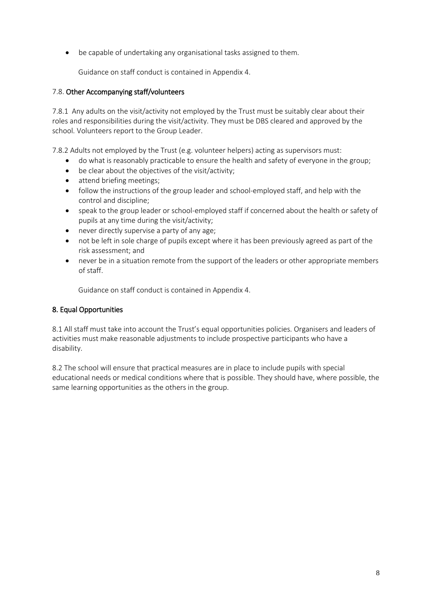• be capable of undertaking any organisational tasks assigned to them.

Guidance on staff conduct is contained in Appendix 4.

# 7.8. Other Accompanying staff/volunteers

7.8.1 Any adults on the visit/activity not employed by the Trust must be suitably clear about their roles and responsibilities during the visit/activity. They must be DBS cleared and approved by the school. Volunteers report to the Group Leader.

7.8.2 Adults not employed by the Trust (e.g. volunteer helpers) acting as supervisors must:

- do what is reasonably practicable to ensure the health and safety of everyone in the group;
- be clear about the objectives of the visit/activity;
- attend briefing meetings;
- follow the instructions of the group leader and school-employed staff, and help with the control and discipline;
- speak to the group leader or school-employed staff if concerned about the health or safety of pupils at any time during the visit/activity;
- never directly supervise a party of any age;
- not be left in sole charge of pupils except where it has been previously agreed as part of the risk assessment; and
- never be in a situation remote from the support of the leaders or other appropriate members of staff.

Guidance on staff conduct is contained in Appendix 4.

# 8. Equal Opportunities

8.1 All staff must take into account the Trust's equal opportunities policies. Organisers and leaders of activities must make reasonable adjustments to include prospective participants who have a disability.

8.2 The school will ensure that practical measures are in place to include pupils with special educational needs or medical conditions where that is possible. They should have, where possible, the same learning opportunities as the others in the group.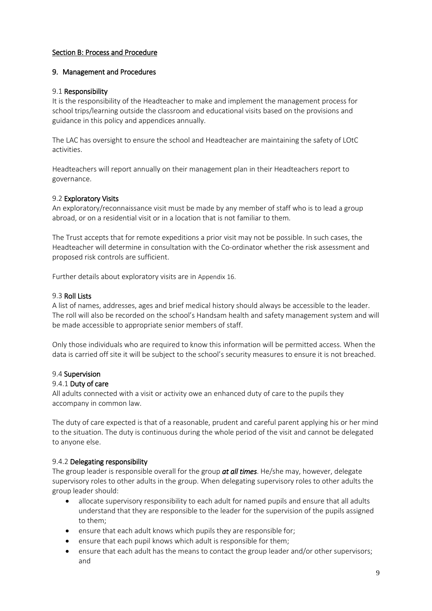### Section B: Process and Procedure

### 9. Management and Procedures

#### 9.1 Responsibility

It is the responsibility of the Headteacher to make and implement the management process for school trips/learning outside the classroom and educational visits based on the provisions and guidance in this policy and appendices annually.

The LAC has oversight to ensure the school and Headteacher are maintaining the safety of LOtC activities.

Headteachers will report annually on their management plan in their Headteachers report to governance.

### 9.2 Exploratory Visits

An exploratory/reconnaissance visit must be made by any member of staff who is to lead a group abroad, or on a residential visit or in a location that is not familiar to them.

The Trust accepts that for remote expeditions a prior visit may not be possible. In such cases, the Headteacher will determine in consultation with the Co-ordinator whether the risk assessment and proposed risk controls are sufficient.

Further details about exploratory visits are in Appendix 16.

### 9.3 Roll Lists

A list of names, addresses, ages and brief medical history should always be accessible to the leader. The roll will also be recorded on the school's Handsam health and safety management system and will be made accessible to appropriate senior members of staff.

Only those individuals who are required to know this information will be permitted access. When the data is carried off site it will be subject to the school's security measures to ensure it is not breached.

#### 9.4 Supervision

#### 9.4.1 Duty of care

All adults connected with a visit or activity owe an enhanced duty of care to the pupils they accompany in common law.

The duty of care expected is that of a reasonable, prudent and careful parent applying his or her mind to the situation. The duty is continuous during the whole period of the visit and cannot be delegated to anyone else.

# 9.4.2 Delegating responsibility

The group leader is responsible overall for the group *at all times*. He/she may, however, delegate supervisory roles to other adults in the group. When delegating supervisory roles to other adults the group leader should:

- allocate supervisory responsibility to each adult for named pupils and ensure that all adults understand that they are responsible to the leader for the supervision of the pupils assigned to them;
- ensure that each adult knows which pupils they are responsible for;
- ensure that each pupil knows which adult is responsible for them;
- ensure that each adult has the means to contact the group leader and/or other supervisors; and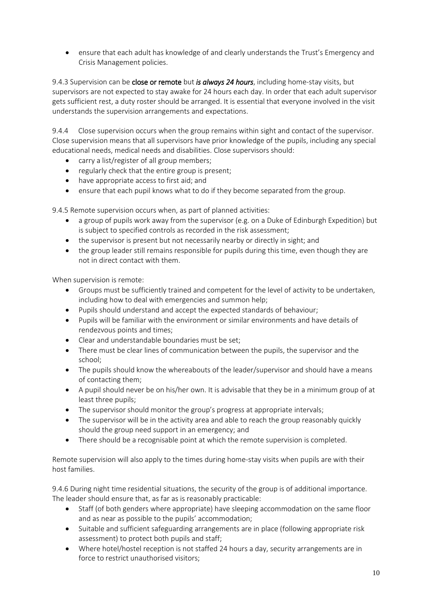• ensure that each adult has knowledge of and clearly understands the Trust's Emergency and Crisis Management policies.

9.4.3 Supervision can be close or remote but *is always 24 hours*, including home-stay visits, but supervisors are not expected to stay awake for 24 hours each day. In order that each adult supervisor gets sufficient rest, a duty roster should be arranged. It is essential that everyone involved in the visit understands the supervision arrangements and expectations.

9.4.4 Close supervision occurs when the group remains within sight and contact of the supervisor. Close supervision means that all supervisors have prior knowledge of the pupils, including any special educational needs, medical needs and disabilities. Close supervisors should:

- carry a list/register of all group members;
- regularly check that the entire group is present;
- have appropriate access to first aid; and
- ensure that each pupil knows what to do if they become separated from the group.

9.4.5 Remote supervision occurs when, as part of planned activities:

- a group of pupils work away from the supervisor (e.g. on a Duke of Edinburgh Expedition) but is subject to specified controls as recorded in the risk assessment;
- the supervisor is present but not necessarily nearby or directly in sight; and
- the group leader still remains responsible for pupils during this time, even though they are not in direct contact with them.

When supervision is remote:

- Groups must be sufficiently trained and competent for the level of activity to be undertaken, including how to deal with emergencies and summon help;
- Pupils should understand and accept the expected standards of behaviour;
- Pupils will be familiar with the environment or similar environments and have details of rendezvous points and times;
- Clear and understandable boundaries must be set;
- There must be clear lines of communication between the pupils, the supervisor and the school;
- The pupils should know the whereabouts of the leader/supervisor and should have a means of contacting them;
- A pupil should never be on his/her own. It is advisable that they be in a minimum group of at least three pupils;
- The supervisor should monitor the group's progress at appropriate intervals;
- The supervisor will be in the activity area and able to reach the group reasonably quickly should the group need support in an emergency; and
- There should be a recognisable point at which the remote supervision is completed.

Remote supervision will also apply to the times during home-stay visits when pupils are with their host families.

9.4.6 During night time residential situations, the security of the group is of additional importance. The leader should ensure that, as far as is reasonably practicable:

- Staff (of both genders where appropriate) have sleeping accommodation on the same floor and as near as possible to the pupils' accommodation;
- Suitable and sufficient safeguarding arrangements are in place (following appropriate risk assessment) to protect both pupils and staff;
- Where hotel/hostel reception is not staffed 24 hours a day, security arrangements are in force to restrict unauthorised visitors;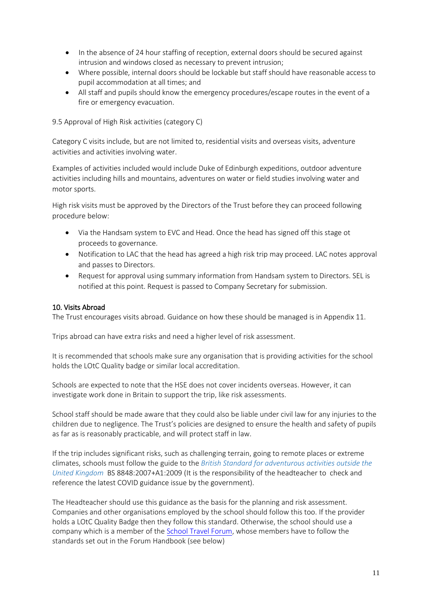- In the absence of 24 hour staffing of reception, external doors should be secured against intrusion and windows closed as necessary to prevent intrusion;
- Where possible, internal doors should be lockable but staff should have reasonable access to pupil accommodation at all times; and
- All staff and pupils should know the emergency procedures/escape routes in the event of a fire or emergency evacuation.

9.5 Approval of High Risk activities (category C)

Category C visits include, but are not limited to, residential visits and overseas visits, adventure activities and activities involving water.

Examples of activities included would include Duke of Edinburgh expeditions, outdoor adventure activities including hills and mountains, adventures on water or field studies involving water and motor sports.

High risk visits must be approved by the Directors of the Trust before they can proceed following procedure below:

- Via the Handsam system to EVC and Head. Once the head has signed off this stage ot proceeds to governance.
- Notification to LAC that the head has agreed a high risk trip may proceed. LAC notes approval and passes to Directors.
- Request for approval using summary information from Handsam system to Directors. SEL is notified at this point. Request is passed to Company Secretary for submission.

# 10. Visits Abroad

The Trust encourages visits abroad. Guidance on how these should be managed is in Appendix 11.

Trips abroad can have extra risks and need a higher level of risk assessment.

It is recommended that schools make sure any organisation that is providing activities for the school holds the LOtC Quality badge or similar local accreditation.

Schools are expected to note that the HSE does not cover incidents overseas. However, it can investigate work done in Britain to support the trip, like risk assessments.

School staff should be made aware that they could also be liable under civil law for any injuries to the children due to negligence. The Trust's policies are designed to ensure the health and safety of pupils as far as is reasonably practicable, and will protect staff in law.

If the trip includes significant risks, such as challenging terrain, going to remote places or extreme climates, schools must follow the guide to the *British Standard for [adventurous](https://www.bsigroup.com/en-GB/about-bsi/uk-national-standards-body/what-is-the-national-standards-body/why-standards-matter-for-consumers/consumer-resources/) activities outside the United [Kingdom](https://www.bsigroup.com/en-GB/about-bsi/uk-national-standards-body/what-is-the-national-standards-body/why-standards-matter-for-consumers/consumer-resources/)* BS 8848:2007+A1:2009 (It is the responsibility of the headteacher to check and reference the latest COVID guidance issue by the government).

The Headteacher should use this guidance as the basis for the planning and risk assessment. Companies and other organisations employed by the school should follow this too. If the provider holds a LOtC Quality Badge then they follow this standard. Otherwise, the school should use a company which is a member of th[e School Travel Forum,](https://schooltravelforum.com/teachers-toolkit#guidance) whose members have to follow the standards set out in the Forum Handbook (see below)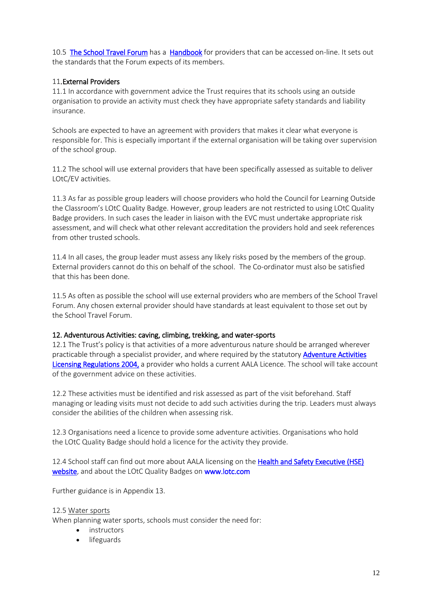10.5 [The School Travel Forum](https://schooltravelforum.com/teachers-toolkit#guidance) has a [Handbook](https://schooltravelforum.com/media/1565/stf-handbook-section-3.pdf) for providers that can be accessed on-line. It sets out the standards that the Forum expects of its members.

### 11. External Providers

11.1 In accordance with government advice the Trust requires that its schools using an outside organisation to provide an activity must check they have appropriate safety standards and liability insurance.

Schools are expected to have an agreement with providers that makes it clear what everyone is responsible for. This is especially important if the external organisation will be taking over supervision of the school group.

11.2 The school will use external providers that have been specifically assessed as suitable to deliver LOtC/EV activities.

11.3 As far as possible group leaders will choose providers who hold the Council for Learning Outside the Classroom's LOtC Quality Badge. However, group leaders are not restricted to using LOtC Quality Badge providers. In such cases the leader in liaison with the EVC must undertake appropriate risk assessment, and will check what other relevant accreditation the providers hold and seek references from other trusted schools.

11.4 In all cases, the group leader must assess any likely risks posed by the members of the group. External providers cannot do this on behalf of the school. The Co-ordinator must also be satisfied that this has been done.

11.5 As often as possible the school will use external providers who are members of the School Travel Forum. Any chosen external provider should have standards at least equivalent to those set out by the School Travel Forum.

#### 12. Adventurous Activities: caving, climbing, trekking, and water-sports

12.1 The Trust's policy is that activities of a more adventurous nature should be arranged wherever practicable through a specialist provider, and where required by the statutory **Adventure Activities** [Licensing Regulations 2004,](https://www.legislation.gov.uk/uksi/2004/1309/contents/made) a provider who holds a current AALA Licence. The school will take account of the government advice on these activities.

12.2 These activities must be identified and risk assessed as part of the visit beforehand. Staff managing or leading visits must not decide to add such activities during the trip. Leaders must always consider the abilities of the children when assessing risk.

12.3 Organisations need a licence to provide some adventure activities. Organisations who hold the LOtC Quality Badge should hold a licence for the activity they provide.

12.4 School staff can find out more about AALA [licensing](http://www.hse.gov.uk/aala/public-information.htm) on the Health and Safety Executive (HSE) [website,](https://www.hse.gov.uk/) and about the LOtC Quality Badges on [www.lotc.com](http://www.lotc.com/)

Further guidance is in Appendix 13.

#### 12.5 Water sports

When planning water sports, schools must consider the need for:

- instructors
- lifeguards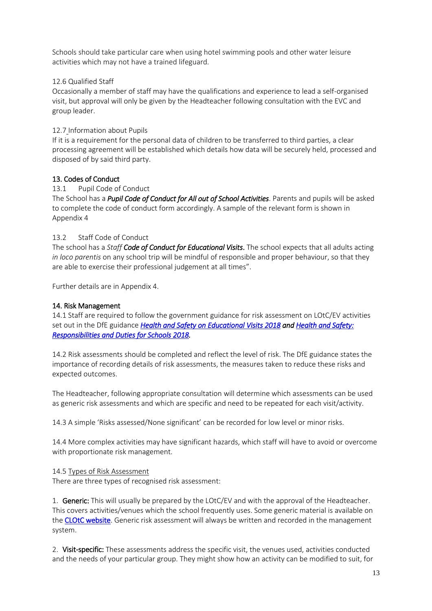Schools should take particular care when using hotel swimming pools and other water leisure activities which may not have a trained lifeguard.

## 12.6 Qualified Staff

Occasionally a member of staff may have the qualifications and experience to lead a self-organised visit, but approval will only be given by the Headteacher following consultation with the EVC and group leader.

### 12.7 Information about Pupils

If it is a requirement for the personal data of children to be transferred to third parties, a clear processing agreement will be established which details how data will be securely held, processed and disposed of by said third party.

### 13. Codes of Conduct

### 13.1 Pupil Code of Conduct

The School has a *Pupil Code of Conduct for All out of School Activities*. Parents and pupils will be asked to complete the code of conduct form accordingly. A sample of the relevant form is shown in Appendix 4

### 13.2 Staff Code of Conduct

The school has a *Staff Code of Conduct for Educational Visits*. The school expects that all adults acting *in loco parentis* on any school trip will be mindful of responsible and proper behaviour, so that they are able to exercise their professional judgement at all times".

Further details are in Appendix 4.

## 14. Risk Management

14.1 Staff are required to follow the government guidance for risk assessment on LOtC/EV activities set out in the DfE guidance *[Health and Safety on Educational Visits 2018](https://www.gov.uk/government/publications/health-and-safety-on-educational-visits/health-and-safety-on-educational-visits) and [Health and Safety:](https://www.hse.gov.uk/services/education/sensible-leadership/school-leaders.htm)  [Responsibilities and Duties for Schools 2018.](https://www.hse.gov.uk/services/education/sensible-leadership/school-leaders.htm)* 

14.2 Risk assessments should be completed and reflect the level of risk. The DfE guidance states the importance of recording details of risk assessments, the measures taken to reduce these risks and expected outcomes.

The Headteacher, following appropriate consultation will determine which assessments can be used as generic risk assessments and which are specific and need to be repeated for each visit/activity.

14.3 A simple 'Risks assessed/None significant' can be recorded for low level or minor risks.

14.4 More complex activities may have significant hazards, which staff will have to avoid or overcome with proportionate risk management.

#### 14.5 Types of Risk Assessment

There are three types of recognised risk assessment:

1. Generic: This will usually be prepared by the LOtC/EV and with the approval of the Headteacher. This covers activities/venues which the school frequently uses. Some generic material is available on the [CLOtC website.](http://www.lotc.org.uk./) Generic risk assessment will always be written and recorded in the management system.

2. Visit-specific: These assessments address the specific visit, the venues used, activities conducted and the needs of your particular group. They might show how an activity can be modified to suit, for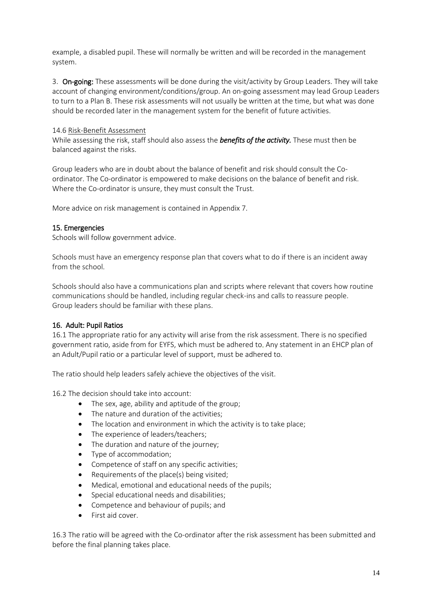example, a disabled pupil. These will normally be written and will be recorded in the management system.

3. On-going: These assessments will be done during the visit/activity by Group Leaders. They will take account of changing environment/conditions/group. An on-going assessment may lead Group Leaders to turn to a Plan B. These risk assessments will not usually be written at the time, but what was done should be recorded later in the management system for the benefit of future activities.

### 14.6 Risk-Benefit Assessment

While assessing the risk, staff should also assess the *benefits of the activity.* These must then be balanced against the risks.

Group leaders who are in doubt about the balance of benefit and risk should consult the Coordinator. The Co-ordinator is empowered to make decisions on the balance of benefit and risk. Where the Co-ordinator is unsure, they must consult the Trust.

More advice on risk management is contained in Appendix 7.

#### 15. Emergencies

Schools will follow government advice.

Schools must have an emergency response plan that covers what to do if there is an incident away from the school.

Schools should also have a communications plan and scripts where relevant that covers how routine communications should be handled, including regular check-ins and calls to reassure people. Group leaders should be familiar with these plans.

#### 16. Adult: Pupil Ratios

16.1 The appropriate ratio for any activity will arise from the risk assessment. There is no specified government ratio, aside from for EYFS, which must be adhered to. Any statement in an EHCP plan of an Adult/Pupil ratio or a particular level of support, must be adhered to.

The ratio should help leaders safely achieve the objectives of the visit.

16.2 The decision should take into account:

- The sex, age, ability and aptitude of the group;
- The nature and duration of the activities;
- The location and environment in which the activity is to take place;
- The experience of leaders/teachers:
- The duration and nature of the journey;
- Type of accommodation;
- Competence of staff on any specific activities;
- Requirements of the place(s) being visited;
- Medical, emotional and educational needs of the pupils;
- Special educational needs and disabilities;
- Competence and behaviour of pupils; and
- First aid cover.

16.3 The ratio will be agreed with the Co-ordinator after the risk assessment has been submitted and before the final planning takes place.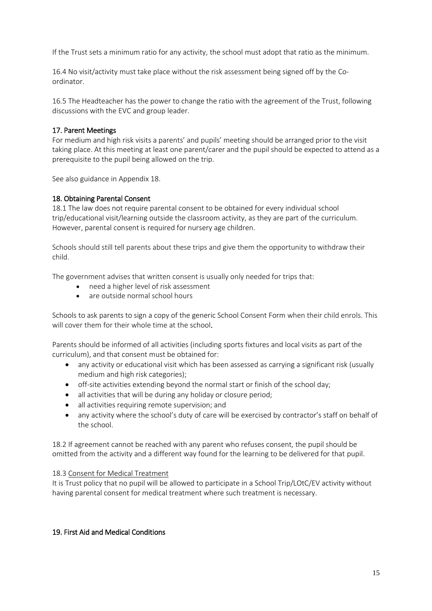If the Trust sets a minimum ratio for any activity, the school must adopt that ratio as the minimum.

16.4 No visit/activity must take place without the risk assessment being signed off by the Coordinator.

16.5 The Headteacher has the power to change the ratio with the agreement of the Trust, following discussions with the EVC and group leader.

### 17. Parent Meetings

For medium and high risk visits a parents' and pupils' meeting should be arranged prior to the visit taking place. At this meeting at least one parent/carer and the pupil should be expected to attend as a prerequisite to the pupil being allowed on the trip.

See also guidance in Appendix 18.

#### 18. Obtaining Parental Consent

18.1 The law does not require parental consent to be obtained for every individual school trip/educational visit/learning outside the classroom activity, as they are part of the curriculum. However, parental consent is required for nursery age children.

Schools should still tell parents about these trips and give them the opportunity to withdraw their child.

The government advises that written consent is usually only needed for trips that:

- need a higher level of risk assessment
- are outside normal school hours

Schools to ask parents to sign a copy of the [generic School](https://www.gov.uk/government/publications/consent-for-school-trips-and-other-off-site-activities) Consent Form when their child enrols. This will cover them for their whole time at the school.

Parents should be informed of all activities (including sports fixtures and local visits as part of the curriculum), and that consent must be obtained for:

- any activity or educational visit which has been assessed as carrying a significant risk (usually medium and high risk categories);
- off-site activities extending beyond the normal start or finish of the school day;
- all activities that will be during any holiday or closure period;
- all activities requiring remote supervision; and
- any activity where the school's duty of care will be exercised by contractor's staff on behalf of the school.

18.2 If agreement cannot be reached with any parent who refuses consent, the pupil should be omitted from the activity and a different way found for the learning to be delivered for that pupil.

#### 18.3 Consent for Medical Treatment

It is Trust policy that no pupil will be allowed to participate in a School Trip/LOtC/EV activity without having parental consent for medical treatment where such treatment is necessary.

#### 19. First Aid and Medical Conditions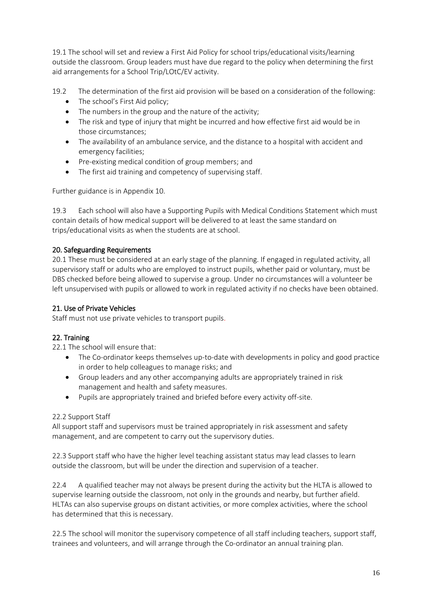19.1 The school will set and review a First Aid Policy for school trips/educational visits/learning outside the classroom. Group leaders must have due regard to the policy when determining the first aid arrangements for a School Trip/LOtC/EV activity.

19.2 The determination of the first aid provision will be based on a consideration of the following:

- The school's First Aid policy:
- The numbers in the group and the nature of the activity;
- The risk and type of injury that might be incurred and how effective first aid would be in those circumstances;
- The availability of an ambulance service, and the distance to a hospital with accident and emergency facilities;
- Pre-existing medical condition of group members; and
- The first aid training and competency of supervising staff.

Further guidance is in Appendix 10.

19.3 Each school will also have a Supporting Pupils with Medical Conditions Statement which must contain details of how medical support will be delivered to at least the same standard on trips/educational visits as when the students are at school.

# 20. Safeguarding Requirements

20.1 These must be considered at an early stage of the planning. If engaged in regulated activity, all supervisory staff or adults who are employed to instruct pupils, whether paid or voluntary, must be DBS checked before being allowed to supervise a group. Under no circumstances will a volunteer be left unsupervised with pupils or allowed to work in regulated activity if no checks have been obtained.

# 21. Use of Private Vehicles

Staff must not use private vehicles to transport pupils.

# 22. Training

22.1 The school will ensure that:

- The Co-ordinator keeps themselves up-to-date with developments in policy and good practice in order to help colleagues to manage risks; and
- Group leaders and any other accompanying adults are appropriately trained in risk management and health and safety measures.
- Pupils are appropriately trained and briefed before every activity off-site.

# 22.2 Support Staff

All support staff and supervisors must be trained appropriately in risk assessment and safety management, and are competent to carry out the supervisory duties.

22.3 Support staff who have the higher level teaching assistant status may lead classes to learn outside the classroom, but will be under the direction and supervision of a teacher.

22.4 A qualified teacher may not always be present during the activity but the HLTA is allowed to supervise learning outside the classroom, not only in the grounds and nearby, but further afield. HLTAs can also supervise groups on distant activities, or more complex activities, where the school has determined that this is necessary.

22.5 The school will monitor the supervisory competence of all staff including teachers, support staff, trainees and volunteers, and will arrange through the Co-ordinator an annual training plan.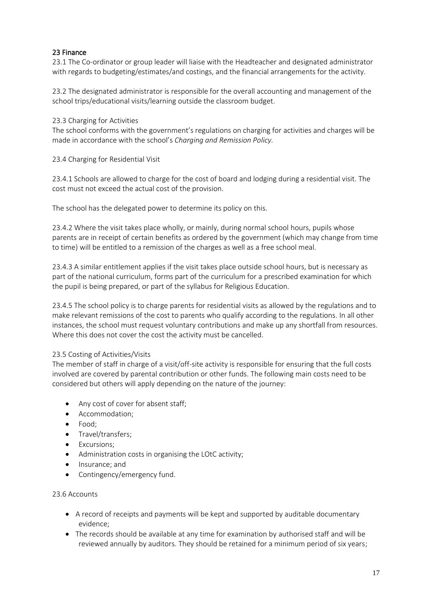# 23 Finance

23.1 The Co-ordinator or group leader will liaise with the Headteacher and designated administrator with regards to budgeting/estimates/and costings, and the financial arrangements for the activity.

23.2 The designated administrator is responsible for the overall accounting and management of the school trips/educational visits/learning outside the classroom budget.

### 23.3 Charging for Activities

The school conforms with the government's regulations on charging for activities and charges will be made in accordance with the school's *Charging and Remission Policy.*

### 23.4 Charging for Residential Visit

23.4.1 Schools are allowed to charge for the cost of board and lodging during a residential visit. The cost must not exceed the actual cost of the provision.

The school has the delegated power to determine its policy on this.

23.4.2 Where the visit takes place wholly, or mainly, during normal school hours, pupils whose parents are in receipt of certain benefits as ordered by the government (which may change from time to time) will be entitled to a remission of the charges as well as a free school meal.

23.4.3 A similar entitlement applies if the visit takes place outside school hours, but is necessary as part of the national curriculum, forms part of the curriculum for a prescribed examination for which the pupil is being prepared, or part of the syllabus for Religious Education.

23.4.5 The school policy is to charge parents for residential visits as allowed by the regulations and to make relevant remissions of the cost to parents who qualify according to the regulations. In all other instances, the school must request voluntary contributions and make up any shortfall from resources. Where this does not cover the cost the activity must be cancelled.

#### 23.5 Costing of Activities/Visits

The member of staff in charge of a visit/off-site activity is responsible for ensuring that the full costs involved are covered by parental contribution or other funds. The following main costs need to be considered but others will apply depending on the nature of the journey:

- Any cost of cover for absent staff;
- Accommodation;
- Food;
- Travel/transfers;
- Excursions;
- Administration costs in organising the LOtC activity;
- Insurance; and
- Contingency/emergency fund.

#### 23.6 Accounts

- A record of receipts and payments will be kept and supported by auditable documentary evidence;
- The records should be available at any time for examination by authorised staff and will be reviewed annually by auditors. They should be retained for a minimum period of six years;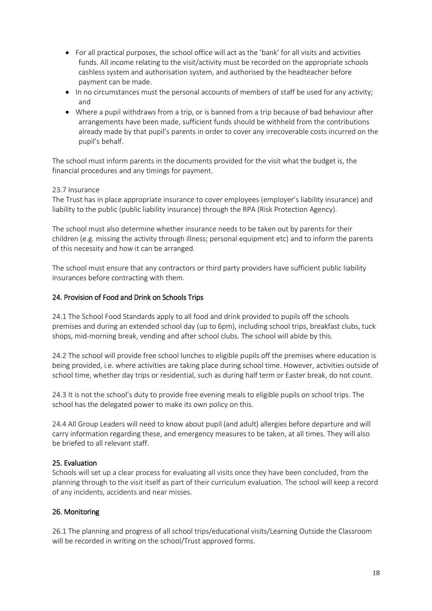- For all practical purposes, the school office will act as the 'bank' for all visits and activities funds. All income relating to the visit/activity must be recorded on the appropriate schools cashless system and authorisation system, and authorised by the headteacher before payment can be made.
- In no circumstances must the personal accounts of members of staff be used for any activity; and
- Where a pupil withdraws from a trip, or is banned from a trip because of bad behaviour after arrangements have been made, sufficient funds should be withheld from the contributions already made by that pupil's parents in order to cover any irrecoverable costs incurred on the pupil's behalf.

The school must inform parents in the documents provided for the visit what the budget is, the financial procedures and any timings for payment.

# 23.7 Insurance

The Trust has in place appropriate insurance to cover employees (employer's liability insurance) and liability to the public (public liability insurance) through the RPA (Risk Protection Agency).

The school must also determine whether insurance needs to be taken out by parents for their children (e.g. missing the activity through illness; personal equipment etc) and to inform the parents of this necessity and how it can be arranged.

The school must ensure that any contractors or third party providers have sufficient public liability insurances before contracting with them.

# 24. Provision of Food and Drink on Schools Trips

24.1 The School Food Standards apply to all food and drink provided to pupils off the schools premises and during an extended school day (up to 6pm), including school trips, breakfast clubs, tuck shops, mid-morning break, vending and after school clubs. The school will abide by this.

24.2 The school will provide free school lunches to eligible pupils off the premises where education is being provided, i.e. where activities are taking place during school time. However, activities outside of school time, whether day trips or residential, such as during half term or Easter break, do not count.

24.3 It is not the school's duty to provide free evening meals to eligible pupils on school trips. The school has the delegated power to make its own policy on this.

24.4 All Group Leaders will need to know about pupil (and adult) allergies before departure and will carry information regarding these, and emergency measures to be taken, at all times. They will also be briefed to all relevant staff.

# 25. Evaluation

Schools will set up a clear process for evaluating all visits once they have been concluded, from the planning through to the visit itself as part of their curriculum evaluation. The school will keep a record of any incidents, accidents and near misses.

# 26. Monitoring

26.1 The planning and progress of all school trips/educational visits/Learning Outside the Classroom will be recorded in writing on the school/Trust approved forms.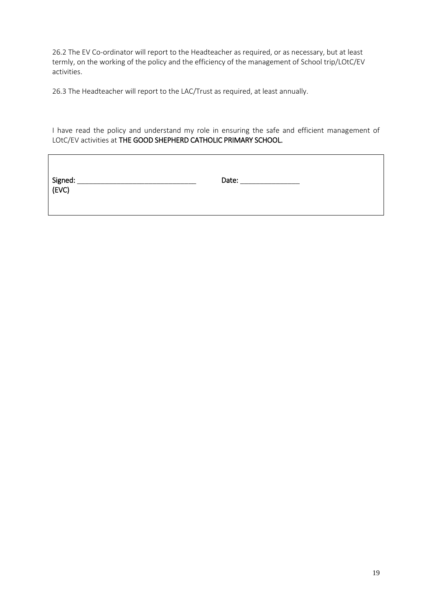26.2 The EV Co-ordinator will report to the Headteacher as required, or as necessary, but at least termly, on the working of the policy and the efficiency of the management of School trip/LOtC/EV activities.

26.3 The Headteacher will report to the LAC/Trust as required, at least annually.

 $\mathbf{r}$ 

I have read the policy and understand my role in ensuring the safe and efficient management of LOtC/EV activities at THE GOOD SHEPHERD CATHOLIC PRIMARY SCHOOL.

| Signed: _<br>(EVC) | Date: |
|--------------------|-------|
|                    |       |

 $\overline{\phantom{a}}$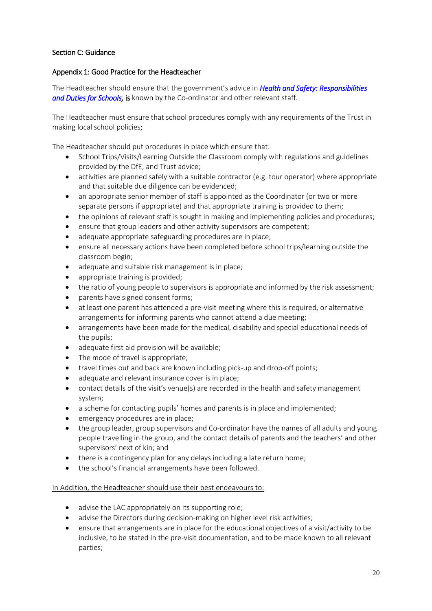# Section C: Guidance

# Appendix 1: Good Practice for the Headteacher

The Headteacher should ensure that the government's advice in *[Health and Safety: Responsibilities](https://www.gov.uk/government/publications/health-and-safety-advice-for-schools/responsibilities-and-duties-for-schools)*  [and Duties for Schools,](https://www.gov.uk/government/publications/health-and-safety-advice-for-schools/responsibilities-and-duties-for-schools) is known by the Co-ordinator and other relevant staff.

The Headteacher must ensure that school procedures comply with any requirements of the Trust in making local school policies;

The Headteacher should put procedures in place which ensure that:

- School Trips/Visits/Learning Outside the Classroom comply with regulations and guidelines provided by the DfE, and Trust advice;
- activities are planned safely with a suitable contractor (e.g. tour operator) where appropriate and that suitable due diligence can be evidenced;
- an appropriate senior member of staff is appointed as the Coordinator (or two or more separate persons if appropriate) and that appropriate training is provided to them;
- the opinions of relevant staff is sought in making and implementing policies and procedures;
- ensure that group leaders and other activity supervisors are competent;
- adequate appropriate safeguarding procedures are in place;
- ensure all necessary actions have been completed before school trips/learning outside the classroom begin;
- adequate and suitable risk management is in place;
- appropriate training is provided;
- the ratio of young people to supervisors is appropriate and informed by the risk assessment;
- parents have signed consent forms;
- at least one parent has attended a pre-visit meeting where this is required, or alternative arrangements for informing parents who cannot attend a due meeting;
- arrangements have been made for the medical, disability and special educational needs of the pupils;
- adequate first aid provision will be available:
- The mode of travel is appropriate;
- travel times out and back are known including pick-up and drop-off points;
- adequate and relevant insurance cover is in place;
- contact details of the visit's venue(s) are recorded in the health and safety management system;
- a scheme for contacting pupils' homes and parents is in place and implemented;
- emergency procedures are in place;
- the group leader, group supervisors and Co-ordinator have the names of all adults and young people travelling in the group, and the contact details of parents and the teachers' and other supervisors' next of kin; and
- there is a contingency plan for any delays including a late return home;
- the school's financial arrangements have been followed.

#### In Addition, the Headteacher should use their best endeavours to:

- advise the LAC appropriately on its supporting role;
- advise the Directors during decision-making on higher level risk activities;
- ensure that arrangements are in place for the educational objectives of a visit/activity to be inclusive, to be stated in the pre-visit documentation, and to be made known to all relevant parties;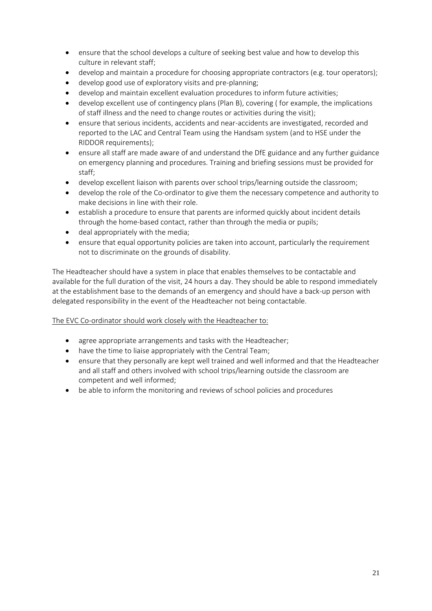- ensure that the school develops a culture of seeking best value and how to develop this culture in relevant staff;
- develop and maintain a procedure for choosing appropriate contractors (e.g. tour operators);
- develop good use of exploratory visits and pre-planning;
- develop and maintain excellent evaluation procedures to inform future activities;
- develop excellent use of contingency plans (Plan B), covering ( for example, the implications of staff illness and the need to change routes or activities during the visit);
- ensure that serious incidents, accidents and near-accidents are investigated, recorded and reported to the LAC and Central Team using the Handsam system (and to HSE under the RIDDOR requirements);
- ensure all staff are made aware of and understand the DfE guidance and any further guidance on emergency planning and procedures. Training and briefing sessions must be provided for staff;
- develop excellent liaison with parents over school trips/learning outside the classroom;
- develop the role of the Co-ordinator to give them the necessary competence and authority to make decisions in line with their role.
- establish a procedure to ensure that parents are informed quickly about incident details through the home-based contact, rather than through the media or pupils;
- deal appropriately with the media;
- ensure that equal opportunity policies are taken into account, particularly the requirement not to discriminate on the grounds of disability.

The Headteacher should have a system in place that enables themselves to be contactable and available for the full duration of the visit, 24 hours a day. They should be able to respond immediately at the establishment base to the demands of an emergency and should have a back-up person with delegated responsibility in the event of the Headteacher not being contactable.

# The EVC Co-ordinator should work closely with the Headteacher to:

- agree appropriate arrangements and tasks with the Headteacher;
- have the time to liaise appropriately with the Central Team;
- ensure that they personally are kept well trained and well informed and that the Headteacher and all staff and others involved with school trips/learning outside the classroom are competent and well informed;
- be able to inform the monitoring and reviews of school policies and procedures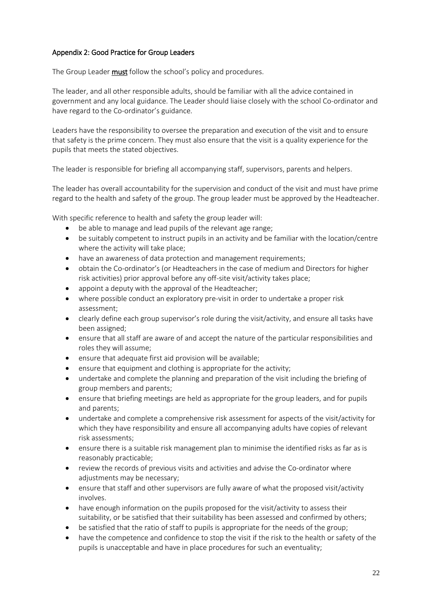# Appendix 2: Good Practice for Group Leaders

The Group Leader must follow the school's policy and procedures.

The leader, and all other responsible adults, should be familiar with all the advice contained in government and any local guidance. The Leader should liaise closely with the school Co-ordinator and have regard to the Co-ordinator's guidance.

Leaders have the responsibility to oversee the preparation and execution of the visit and to ensure that safety is the prime concern. They must also ensure that the visit is a quality experience for the pupils that meets the stated objectives.

The leader is responsible for briefing all accompanying staff, supervisors, parents and helpers.

The leader has overall accountability for the supervision and conduct of the visit and must have prime regard to the health and safety of the group. The group leader must be approved by the Headteacher.

With specific reference to health and safety the group leader will:

- be able to manage and lead pupils of the relevant age range;
- be suitably competent to instruct pupils in an activity and be familiar with the location/centre where the activity will take place;
- have an awareness of data protection and management requirements;
- obtain the Co-ordinator's (or Headteachers in the case of medium and Directors for higher risk activities) prior approval before any off-site visit/activity takes place;
- appoint a deputy with the approval of the Headteacher;
- where possible conduct an exploratory pre-visit in order to undertake a proper risk assessment;
- clearly define each group supervisor's role during the visit/activity, and ensure all tasks have been assigned;
- ensure that all staff are aware of and accept the nature of the particular responsibilities and roles they will assume;
- ensure that adequate first aid provision will be available;
- ensure that equipment and clothing is appropriate for the activity;
- undertake and complete the planning and preparation of the visit including the briefing of group members and parents;
- ensure that briefing meetings are held as appropriate for the group leaders, and for pupils and parents;
- undertake and complete a comprehensive risk assessment for aspects of the visit/activity for which they have responsibility and ensure all accompanying adults have copies of relevant risk assessments;
- ensure there is a suitable risk management plan to minimise the identified risks as far as is reasonably practicable;
- review the records of previous visits and activities and advise the Co-ordinatorwhere adjustments may be necessary;
- ensure that staff and other supervisors are fully aware of what the proposed visit/activity involves.
- have enough information on the pupils proposed for the visit/activity to assess their suitability, or be satisfied that their suitability has been assessed and confirmed by others;
- be satisfied that the ratio of staff to pupils is appropriate for the needs of the group;
- have the competence and confidence to stop the visit if the risk to the health or safety of the pupils is unacceptable and have in place procedures for such an eventuality;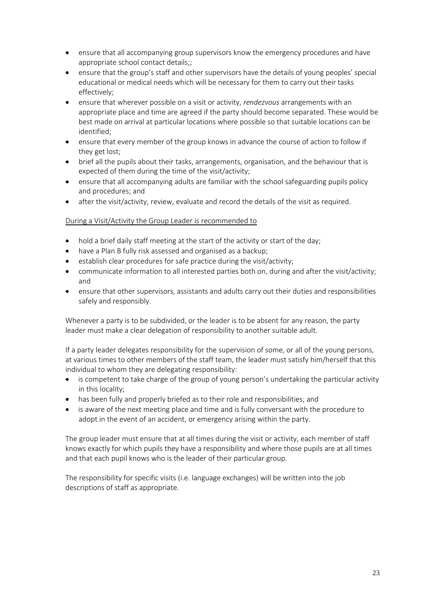- ensure that all accompanying group supervisors know the emergency procedures and have appropriate school contact details;;
- ensure that the group's staff and other supervisors have the details of young peoples' special educational or medical needs which will be necessary for them to carry out their tasks effectively;
- ensure that wherever possible on a visit or activity, *rendezvous* arrangements with an appropriate place and time are agreed if the party should become separated. These would be best made on arrival at particular locations where possible so that suitable locations can be identified;
- ensure that every member of the group knows in advance the course of action to follow if they get lost;
- brief all the pupils about their tasks, arrangements, organisation, and the behaviour that is expected of them during the time of the visit/activity;
- ensure that all accompanying adults are familiar with the school safeguarding pupils policy and procedures; and
- after the visit/activity, review, evaluate and record the details of the visit as required.

# During a Visit/Activity the Group Leader is recommended to

- hold a brief daily staff meeting at the start of the activity or start of the day;
- have a Plan B fully risk assessed and organised as a backup;
- establish clear procedures for safe practice during the visit/activity;
- communicate information to all interested parties both on, during and after the visit/activity; and
- ensure that other supervisors, assistants and adults carry out their duties and responsibilities safely and responsibly.

Whenever a party is to be subdivided, or the leader is to be absent for any reason, the party leader must make a clear delegation of responsibility to another suitable adult.

If a party leader delegates responsibility for the supervision of some, or all of the young persons, at various times to other members of the staff team, the leader must satisfy him/herself that this individual to whom they are delegating responsibility:

- is competent to take charge of the group of young person's undertaking the particular activity in this locality;
- has been fully and properly briefed as to their role and responsibilities; and
- is aware of the next meeting place and time and is fully conversant with the procedure to adopt in the event of an accident, or emergency arising within the party.

The group leader must ensure that at all times during the visit or activity, each member of staff knows exactly for which pupils they have a responsibility and where those pupils are at all times and that each pupil knows who is the leader of their particular group.

The responsibility for specific visits (i.e. language exchanges) will be written into the job descriptions of staff as appropriate.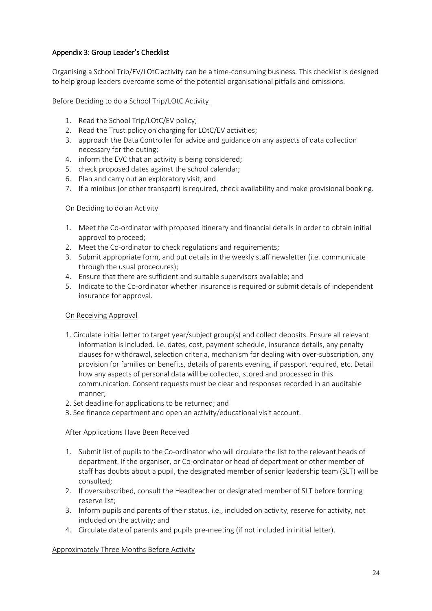# Appendix 3: Group Leader's Checklist

Organising a School Trip/EV/LOtC activity can be a time-consuming business. This checklist is designed to help group leaders overcome some of the potential organisational pitfalls and omissions.

# Before Deciding to do a School Trip/LOtC Activity

- 1. Read the School Trip/LOtC/EV policy;
- 2. Read the Trust policy on charging for LOtC/EV activities;
- 3. approach the Data Controller for advice and guidance on any aspects of data collection necessary for the outing;
- 4. inform the EVC that an activity is being considered;
- 5. check proposed dates against the school calendar;
- 6. Plan and carry out an exploratory visit; and
- 7. If a minibus (or other transport) is required, check availability and make provisional booking.

### On Deciding to do an Activity

- 1. Meet the Co-ordinator with proposed itinerary and financial details in order to obtain initial approval to proceed;
- 2. Meet the Co-ordinator to check regulations and requirements;
- 3. Submit appropriate form, and put details in the weekly staff newsletter (i.e. communicate through the usual procedures);
- 4. Ensure that there are sufficient and suitable supervisors available; and
- 5. Indicate to the Co-ordinator whether insurance is required or submit details of independent insurance for approval.

# On Receiving Approval

- 1. Circulate initial letter to target year/subject group(s) and collect deposits. Ensure all relevant information is included. i.e. dates, cost, payment schedule, insurance details, any penalty clauses for withdrawal, selection criteria, mechanism for dealing with over-subscription, any provision for families on benefits, details of parents evening, if passport required, etc. Detail how any aspects of personal data will be collected, stored and processed in this communication. Consent requests must be clear and responses recorded in an auditable manner;
- 2. Set deadline for applications to be returned; and
- 3. See finance department and open an activity/educational visit account.

# After Applications Have Been Received

- 1. Submit list of pupils to the Co-ordinator who will circulate the list to the relevant heads of department. If the organiser, or Co-ordinator or head of department or other member of staff has doubts about a pupil, the designated member of senior leadership team (SLT) will be consulted;
- 2. If oversubscribed, consult the Headteacher or designated member of SLT before forming reserve list;
- 3. Inform pupils and parents of their status. i.e., included on activity, reserve for activity, not included on the activity; and
- 4. Circulate date of parents and pupils pre-meeting (if not included in initial letter).

# Approximately Three Months Before Activity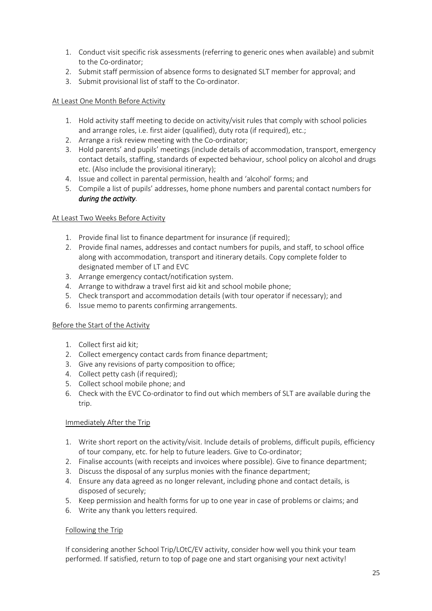- 1. Conduct visit specific risk assessments (referring to generic ones when available) and submit to the Co-ordinator;
- 2. Submit staff permission of absence forms to designated SLT member for approval; and
- 3. Submit provisional list of staff to the Co-ordinator.

## At Least One Month Before Activity

- 1. Hold activity staff meeting to decide on activity/visit rules that comply with school policies and arrange roles, i.e. first aider (qualified), duty rota (if required), etc.;
- 2. Arrange a risk review meeting with the Co-ordinator;
- 3. Hold parents' and pupils' meetings (include details of accommodation, transport, emergency contact details, staffing, standards of expected behaviour, school policy on alcohol and drugs etc. (Also include the provisional itinerary);
- 4. Issue and collect in parental permission, health and 'alcohol' forms; and
- 5. Compile a list of pupils' addresses, home phone numbers and parental contact numbers for *during the activity*.

### At Least Two Weeks Before Activity

- 1. Provide final list to finance department for insurance (if required);
- 2. Provide final names, addresses and contact numbers for pupils, and staff, to school office along with accommodation, transport and itinerary details. Copy complete folder to designated member of LT and EVC
- 3. Arrange emergency contact/notification system.
- 4. Arrange to withdraw a travel first aid kit and school mobile phone;
- 5. Check transport and accommodation details (with tour operator if necessary); and
- 6. Issue memo to parents confirming arrangements.

# Before the Start of the Activity

- 1. Collect first aid kit;
- 2. Collect emergency contact cards from finance department;
- 3. Give any revisions of party composition to office;
- 4. Collect petty cash (if required);
- 5. Collect school mobile phone; and
- 6. Check with the EVC Co-ordinator to find out which members of SLT are available during the trip.

#### Immediately After the Trip

- 1. Write short report on the activity/visit. Include details of problems, difficult pupils, efficiency of tour company, etc. for help to future leaders. Give to Co-ordinator;
- 2. Finalise accounts (with receipts and invoices where possible). Give to finance department;
- 3. Discuss the disposal of any surplus monies with the finance department;
- 4. Ensure any data agreed as no longer relevant, including phone and contact details, is disposed of securely;
- 5. Keep permission and health forms for up to one year in case of problems or claims; and
- 6. Write any thank you letters required.

#### Following the Trip

If considering another School Trip/LOtC/EV activity, consider how well you think your team performed. If satisfied, return to top of page one and start organising your next activity!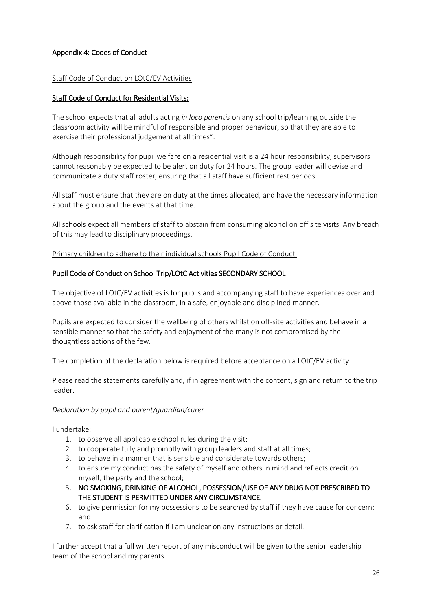# Appendix 4: Codes of Conduct

### Staff Code of Conduct on LOtC/EV Activities

# Staff Code of Conduct for Residential Visits:

The school expects that all adults acting *in loco parentis* on any school trip/learning outside the classroom activity will be mindful of responsible and proper behaviour, so that they are able to exercise their professional judgement at all times".

Although responsibility for pupil welfare on a residential visit is a 24 hour responsibility, supervisors cannot reasonably be expected to be alert on duty for 24 hours. The group leader will devise and communicate a duty staff roster, ensuring that all staff have sufficient rest periods.

All staff must ensure that they are on duty at the times allocated, and have the necessary information about the group and the events at that time.

All schools expect all members of staff to abstain from consuming alcohol on off site visits. Any breach of this may lead to disciplinary proceedings.

Primary children to adhere to their individual schools Pupil Code of Conduct.

### Pupil Code of Conduct on School Trip/LOtC Activities SECONDARY SCHOOL

The objective of LOtC/EV activities is for pupils and accompanying staff to have experiences over and above those available in the classroom, in a safe, enjoyable and disciplined manner.

Pupils are expected to consider the wellbeing of others whilst on off-site activities and behave in a sensible manner so that the safety and enjoyment of the many is not compromised by the thoughtless actions of the few.

The completion of the declaration below is required before acceptance on a LOtC/EV activity.

Please read the statements carefully and, if in agreement with the content, sign and return to the trip leader.

# *Declaration by pupil and parent/guardian/carer*

I undertake:

- 1. to observe all applicable school rules during the visit;
- 2. to cooperate fully and promptly with group leaders and staff at all times;
- 3. to behave in a manner that is sensible and considerate towards others;
- 4. to ensure my conduct has the safety of myself and others in mind and reflects credit on myself, the party and the school;
- 5. NO SMOKING, DRINKING OF ALCOHOL, POSSESSION/USE OF ANY DRUG NOT PRESCRIBED TO THE STUDENT IS PERMITTED UNDER ANY CIRCUMSTANCE.
- 6. to give permission for my possessions to be searched by staff if they have cause for concern; and
- 7. to ask staff for clarification if I am unclear on any instructions or detail.

I further accept that a full written report of any misconduct will be given to the senior leadership team of the school and my parents.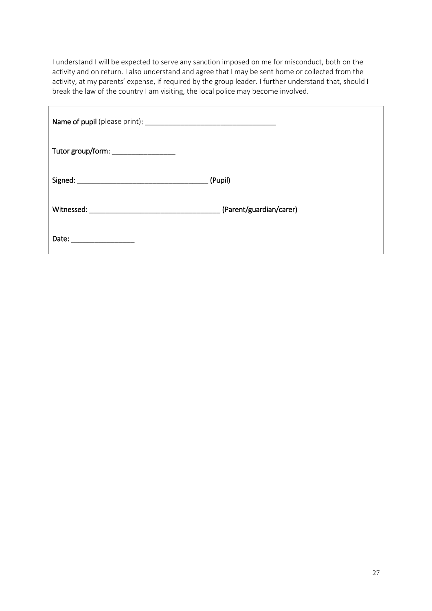I understand I will be expected to serve any sanction imposed on me for misconduct, both on the activity and on return. I also understand and agree that I may be sent home or collected from the activity, at my parents' expense, if required by the group leader. I further understand that, should I break the law of the country I am visiting, the local police may become involved.

| Tutor group/form: __________________ |         |
|--------------------------------------|---------|
|                                      | (Pupil) |
|                                      |         |
| Date: _____________________          |         |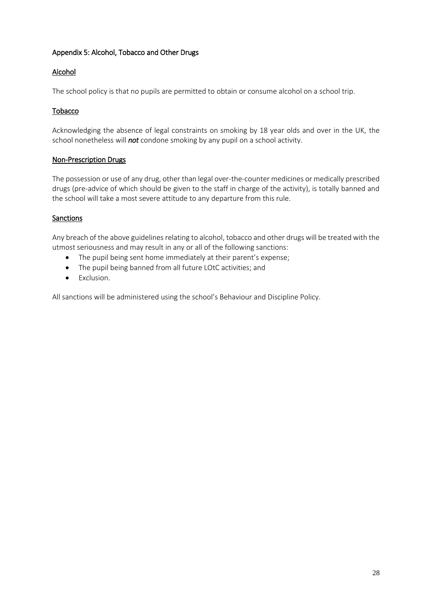# Appendix 5: Alcohol, Tobacco and Other Drugs

# Alcohol

The school policy is that no pupils are permitted to obtain or consume alcohol on a school trip.

# Tobacco

Acknowledging the absence of legal constraints on smoking by 18 year olds and over in the UK, the school nonetheless will *not* condone smoking by any pupil on a school activity.

# Non-Prescription Drugs

The possession or use of any drug, other than legal over-the-counter medicines or medically prescribed drugs (pre-advice of which should be given to the staff in charge of the activity), is totally banned and the school will take a most severe attitude to any departure from this rule.

# **Sanctions**

Any breach of the above guidelines relating to alcohol, tobacco and other drugs will be treated with the utmost seriousness and may result in any or all of the following sanctions:

- The pupil being sent home immediately at their parent's expense;
- The pupil being banned from all future LOtC activities; and
- Exclusion.

All sanctions will be administered using the school's Behaviour and Discipline Policy.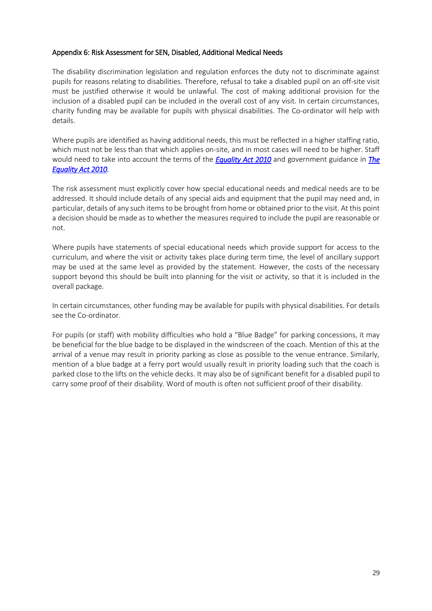### Appendix 6: Risk Assessment for SEN, Disabled, Additional Medical Needs

The disability discrimination legislation and regulation enforces the duty not to discriminate against pupils for reasons relating to disabilities. Therefore, refusal to take a disabled pupil on an off-site visit must be justified otherwise it would be unlawful. The cost of making additional provision for the inclusion of a disabled pupil can be included in the overall cost of any visit. In certain circumstances, charity funding may be available for pupils with physical disabilities. The Co-ordinator will help with details.

Where pupils are identified as having additional needs, this must be reflected in a higher staffing ratio, which must not be less than that which applies on-site, and in most cases will need to be higher. Staff would need to take into account the terms of the *[Equality Act 2010](https://www.legislation.gov.uk/ukpga/2010/15/contents)* and government guidance in *[The](https://www.gov.uk/guidance/equality-act-2010-guidance)  [Equality Act 2010.](https://www.gov.uk/guidance/equality-act-2010-guidance)* 

The risk assessment must explicitly cover how special educational needs and medical needs are to be addressed. It should include details of any special aids and equipment that the pupil may need and, in particular, details of any such items to be brought from home or obtained prior to the visit. At this point a decision should be made as to whether the measures required to include the pupil are reasonable or not.

Where pupils have statements of special educational needs which provide support for access to the curriculum, and where the visit or activity takes place during term time, the level of ancillary support may be used at the same level as provided by the statement. However, the costs of the necessary support beyond this should be built into planning for the visit or activity, so that it is included in the overall package.

In certain circumstances, other funding may be available for pupils with physical disabilities. For details see the Co-ordinator.

For pupils (or staff) with mobility difficulties who hold a "Blue Badge" for parking concessions, it may be beneficial for the blue badge to be displayed in the windscreen of the coach. Mention of this at the arrival of a venue may result in priority parking as close as possible to the venue entrance. Similarly, mention of a blue badge at a ferry port would usually result in priority loading such that the coach is parked close to the lifts on the vehicle decks. It may also be of significant benefit for a disabled pupil to carry some proof of their disability. Word of mouth is often not sufficient proof of their disability.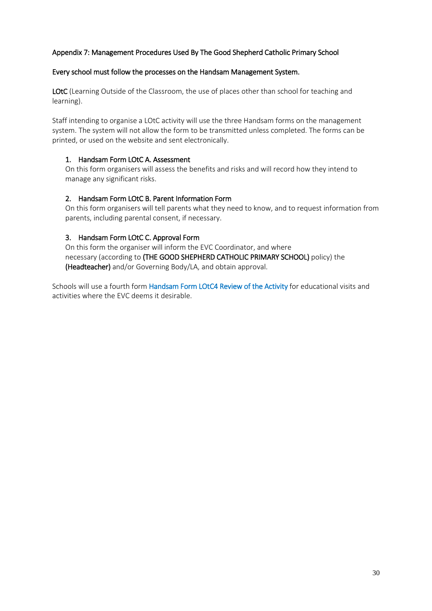# Appendix 7: Management Procedures Used By The Good Shepherd Catholic Primary School

### Every school must follow the processes on the Handsam Management System.

LOtC (Learning Outside of the Classroom, the use of places other than school for teaching and learning).

Staff intending to organise a LOtC activity will use the three Handsam forms on the management system. The system will not allow the form to be transmitted unless completed. The forms can be printed, or used on the website and sent electronically.

### 1. Handsam Form LOtC A. Assessment

On this form organisers will assess the benefits and risks and will record how they intend to manage any significant risks.

### 2. Handsam Form LOtC B. Parent Information Form

On this form organisers will tell parents what they need to know, and to request information from parents, including parental consent, if necessary.

### 3. Handsam Form LOtC C. Approval Form

On this form the organiser will inform the EVC Coordinator, and where necessary (according to (THE GOOD SHEPHERD CATHOLIC PRIMARY SCHOOL) policy) the (Headteacher) and/or Governing Body/LA, and obtain approval.

Schools will use a fourth form HandsamForm LOtC4 Review of the Activity for educational visits and activities where the EVC deems it desirable.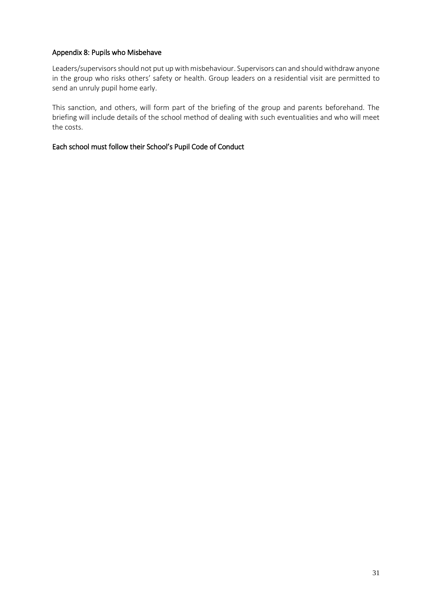## Appendix 8: Pupils who Misbehave

Leaders/supervisors should not put up with misbehaviour. Supervisors can and should withdraw anyone in the group who risks others' safety or health. Group leaders on a residential visit are permitted to send an unruly pupil home early.

This sanction, and others, will form part of the briefing of the group and parents beforehand. The briefing will include details of the school method of dealing with such eventualities and who will meet the costs.

# Each school must follow their School's Pupil Code of Conduct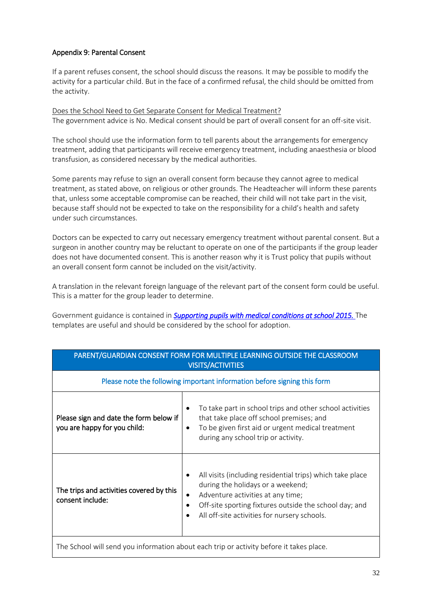# Appendix 9: Parental Consent

If a parent refuses consent, the school should discuss the reasons. It may be possible to modify the activity for a particular child. But in the face of a confirmed refusal, the child should be omitted from the activity.

Does the School Need to Get Separate Consent for Medical Treatment? The government advice is No. Medical consent should be part of overall consent for an off-site visit.

The school should use the information form to tell parents about the arrangements for emergency treatment, adding that participants will receive emergency treatment, including anaesthesia or blood transfusion, as considered necessary by the medical authorities.

Some parents may refuse to sign an overall consent form because they cannot agree to medical treatment, as stated above, on religious or other grounds. The Headteacher will inform these parents that, unless some acceptable compromise can be reached, their child will not take part in the visit, because staff should not be expected to take on the responsibility for a child's health and safety under such circumstances.

Doctors can be expected to carry out necessary emergency treatment without parental consent. But a surgeon in another country may be reluctant to operate on one of the participants if the group leader does not have documented consent. This is another reason why it is Trust policy that pupils without an overall consent form cannot be included on the visit/activity.

A translation in the relevant foreign language of the relevant part of the consent form could be useful. This is a matter for the group leader to determine.

Government guidance is contained in **Supporting pupils with medical conditions at school 2015.** The templates are useful and should be considered by the school for adoption.

| PARENT/GUARDIAN CONSENT FORM FOR MULTIPLE LEARNING OUTSIDE THE CLASSROOM<br><b>VISITS/ACTIVITIES</b> |                                                                                                                                                                                                                                                         |  |
|------------------------------------------------------------------------------------------------------|---------------------------------------------------------------------------------------------------------------------------------------------------------------------------------------------------------------------------------------------------------|--|
| Please note the following important information before signing this form                             |                                                                                                                                                                                                                                                         |  |
| Please sign and date the form below if<br>you are happy for you child:                               | To take part in school trips and other school activities<br>that take place off school premises; and<br>To be given first aid or urgent medical treatment<br>$\bullet$<br>during any school trip or activity.                                           |  |
| The trips and activities covered by this<br>consent include:                                         | All visits (including residential trips) which take place<br>during the holidays or a weekend;<br>Adventure activities at any time;<br>٠<br>Off-site sporting fixtures outside the school day; and<br>All off-site activities for nursery schools.<br>٠ |  |
| The School will send you information about each trip or activity before it takes place.              |                                                                                                                                                                                                                                                         |  |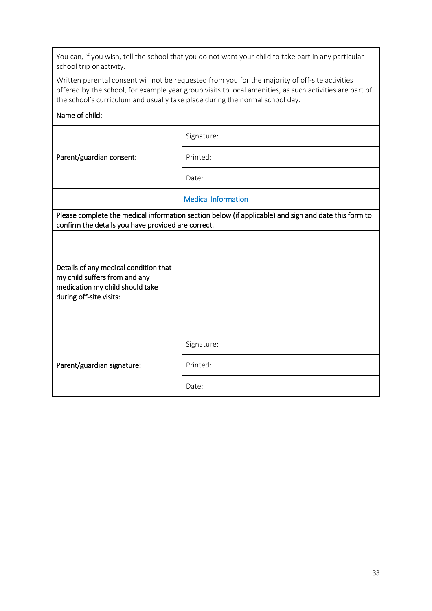| You can, if you wish, tell the school that you do not want your child to take part in any particular<br>school trip or activity.                                                                                                                                                           |            |  |
|--------------------------------------------------------------------------------------------------------------------------------------------------------------------------------------------------------------------------------------------------------------------------------------------|------------|--|
| Written parental consent will not be requested from you for the majority of off-site activities<br>offered by the school, for example year group visits to local amenities, as such activities are part of<br>the school's curriculum and usually take place during the normal school day. |            |  |
| Name of child:                                                                                                                                                                                                                                                                             |            |  |
|                                                                                                                                                                                                                                                                                            | Signature: |  |
| Parent/guardian consent:                                                                                                                                                                                                                                                                   | Printed:   |  |
|                                                                                                                                                                                                                                                                                            | Date:      |  |
| <b>Medical Information</b>                                                                                                                                                                                                                                                                 |            |  |
| Please complete the medical information section below (if applicable) and sign and date this form to<br>confirm the details you have provided are correct.                                                                                                                                 |            |  |
| Details of any medical condition that<br>my child suffers from and any<br>medication my child should take<br>during off-site visits:                                                                                                                                                       |            |  |
|                                                                                                                                                                                                                                                                                            | Signature: |  |
| Parent/guardian signature:                                                                                                                                                                                                                                                                 | Printed:   |  |
|                                                                                                                                                                                                                                                                                            | Date:      |  |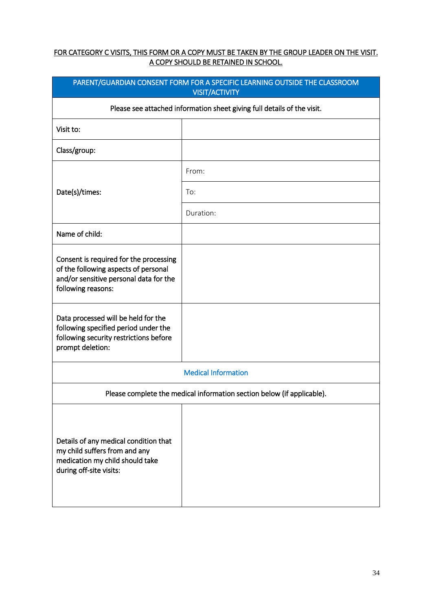# FOR CATEGORY C VISITS, THIS FORM OR A COPY MUST BE TAKEN BY THE GROUP LEADER ON THE VISIT. A COPY SHOULD BE RETAINED IN SCHOOL.

| PARENT/GUARDIAN CONSENT FORM FOR A SPECIFIC LEARNING OUTSIDE THE CLASSROOM<br><b>VISIT/ACTIVITY</b>                                            |           |  |
|------------------------------------------------------------------------------------------------------------------------------------------------|-----------|--|
| Please see attached information sheet giving full details of the visit.                                                                        |           |  |
| Visit to:                                                                                                                                      |           |  |
| Class/group:                                                                                                                                   |           |  |
|                                                                                                                                                | From:     |  |
| Date(s)/times:                                                                                                                                 | To:       |  |
|                                                                                                                                                | Duration: |  |
| Name of child:                                                                                                                                 |           |  |
| Consent is required for the processing<br>of the following aspects of personal<br>and/or sensitive personal data for the<br>following reasons: |           |  |
| Data processed will be held for the<br>following specified period under the<br>following security restrictions before<br>prompt deletion:      |           |  |
| <b>Medical Information</b>                                                                                                                     |           |  |
| Please complete the medical information section below (if applicable).                                                                         |           |  |
| Details of any medical condition that<br>my child suffers from and any<br>medication my child should take<br>during off-site visits:           |           |  |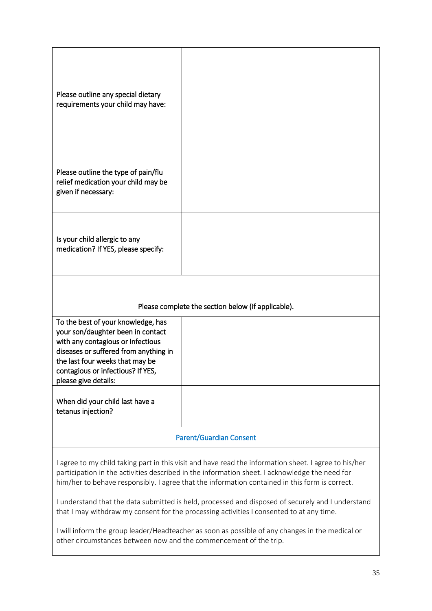| Please outline any special dietary<br>requirements your child may have:                                                                                                                                                                                                                                                                                                                                        |                                                    |
|----------------------------------------------------------------------------------------------------------------------------------------------------------------------------------------------------------------------------------------------------------------------------------------------------------------------------------------------------------------------------------------------------------------|----------------------------------------------------|
| Please outline the type of pain/flu<br>relief medication your child may be<br>given if necessary:                                                                                                                                                                                                                                                                                                              |                                                    |
| Is your child allergic to any<br>medication? If YES, please specify:                                                                                                                                                                                                                                                                                                                                           |                                                    |
|                                                                                                                                                                                                                                                                                                                                                                                                                |                                                    |
|                                                                                                                                                                                                                                                                                                                                                                                                                | Please complete the section below (if applicable). |
| To the best of your knowledge, has<br>your son/daughter been in contact<br>with any contagious or infectious<br>diseases or suffered from anything in<br>the last four weeks that may be<br>contagious or infectious? If YES,<br>please give details:                                                                                                                                                          |                                                    |
| When did your child last have a<br>tetanus injection?                                                                                                                                                                                                                                                                                                                                                          |                                                    |
|                                                                                                                                                                                                                                                                                                                                                                                                                | <b>Parent/Guardian Consent</b>                     |
| I agree to my child taking part in this visit and have read the information sheet. I agree to his/her<br>participation in the activities described in the information sheet. I acknowledge the need for<br>him/her to behave responsibly. I agree that the information contained in this form is correct.<br>I understand that the data submitted is held, processed and disposed of securely and I understand |                                                    |
| that I may withdraw my consent for the processing activities I consented to at any time.<br>I will inform the group leader/Headteacher as soon as possible of any changes in the medical or<br>other circumstances between now and the commencement of the trip.                                                                                                                                               |                                                    |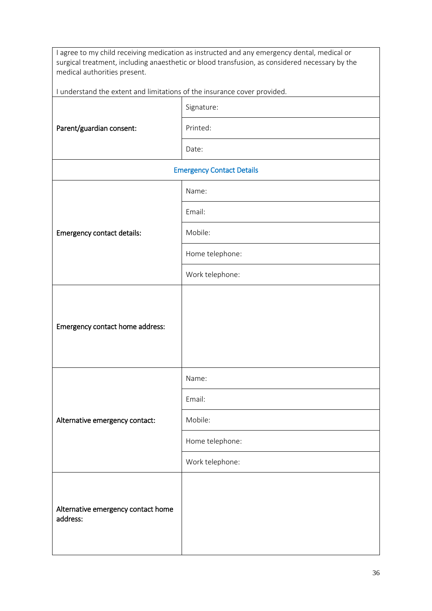| I agree to my child receiving medication as instructed and any emergency dental, medical or<br>surgical treatment, including anaesthetic or blood transfusion, as considered necessary by the<br>medical authorities present. |                 |
|-------------------------------------------------------------------------------------------------------------------------------------------------------------------------------------------------------------------------------|-----------------|
| I understand the extent and limitations of the insurance cover provided.                                                                                                                                                      |                 |
| Parent/guardian consent:                                                                                                                                                                                                      | Signature:      |
|                                                                                                                                                                                                                               | Printed:        |
|                                                                                                                                                                                                                               | Date:           |
| <b>Emergency Contact Details</b>                                                                                                                                                                                              |                 |
|                                                                                                                                                                                                                               | Name:           |
|                                                                                                                                                                                                                               | Email:          |
| <b>Emergency contact details:</b>                                                                                                                                                                                             | Mobile:         |
|                                                                                                                                                                                                                               | Home telephone: |
|                                                                                                                                                                                                                               | Work telephone: |
|                                                                                                                                                                                                                               |                 |
|                                                                                                                                                                                                                               |                 |
| Emergency contact home address:                                                                                                                                                                                               |                 |
|                                                                                                                                                                                                                               |                 |
|                                                                                                                                                                                                                               | Name:           |
|                                                                                                                                                                                                                               | Email:          |
| Alternative emergency contact:                                                                                                                                                                                                | Mobile:         |
|                                                                                                                                                                                                                               | Home telephone: |
|                                                                                                                                                                                                                               | Work telephone: |
|                                                                                                                                                                                                                               |                 |
| Alternative emergency contact home                                                                                                                                                                                            |                 |
| address:                                                                                                                                                                                                                      |                 |
|                                                                                                                                                                                                                               |                 |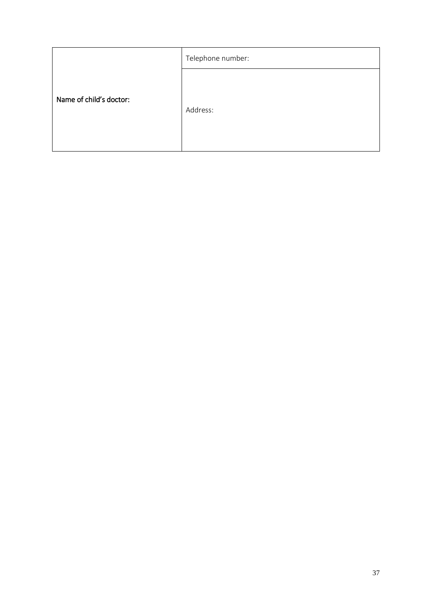|                         | Telephone number: |
|-------------------------|-------------------|
| Name of child's doctor: | Address:          |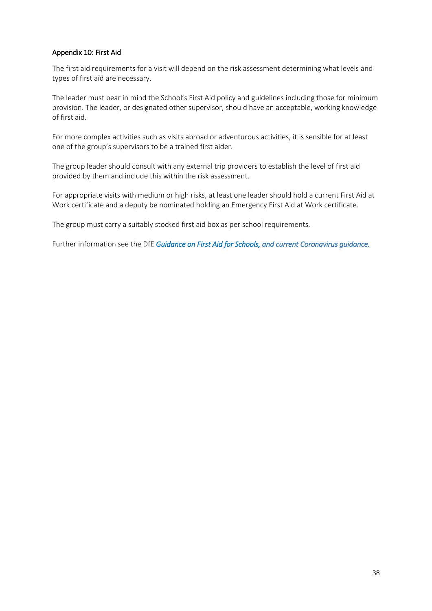### Appendix 10: First Aid

The first aid requirements for a visit will depend on the risk assessment determining what levels and types of first aid are necessary.

The leader must bear in mind the School's First Aid policy and guidelines including those for minimum provision. The leader, or designated other supervisor, should have an acceptable, working knowledge of first aid.

For more complex activities such as visits abroad or adventurous activities, it is sensible for at least one of the group's supervisors to be a trained first aider.

The group leader should consult with any external trip providers to establish the level of first aid provided by them and include this within the risk assessment.

For appropriate visits with medium or high risks, at least one leader should hold a current First Aid at Work certificate and a deputy be nominated holding an Emergency First Aid at Work certificate.

The group must carry a suitably stocked first aid box as per school requirements.

Further information see the DfE *Guidance o[n First Aid for Schools,](https://www.gov.uk/government/publications/first-aid-in-schools) and current Coronavirus guidance.*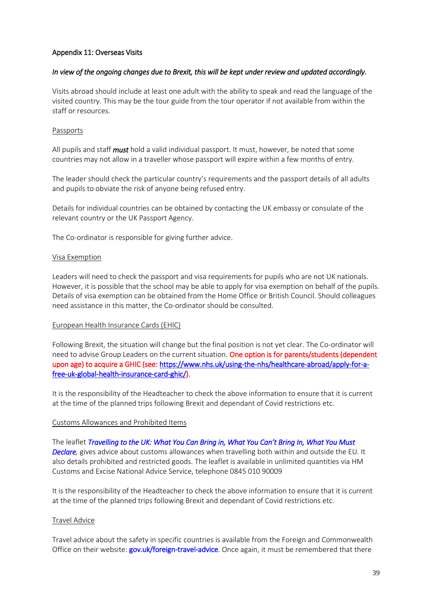### Appendix 11: Overseas Visits

### *In view of the ongoing changes due to Brexit, this will be kept under review and updated accordingly.*

Visits abroad should include at least one adult with the ability to speak and read the language of the visited country. This may be the tour guide from the tour operator if not available from within the staff or resources.

### Passports

All pupils and staff *must* hold a valid individual passport. It must, however, be noted that some countries may not allow in a traveller whose passport will expire within a few months of entry.

The leader should check the particular country's requirements and the passport details of all adults and pupils to obviate the risk of anyone being refused entry.

Details for individual countries can be obtained by contacting the UK embassy or consulate of the relevant country or the UK Passport Agency.

The Co-ordinator is responsible for giving further advice.

#### Visa Exemption

Leaders will need to check the passport and visa requirements for pupils who are not UK nationals. However, it is possible that the school may be able to apply for visa exemption on behalf of the pupils. Details of visa exemption can be obtained from the Home Office or British Council. Should colleagues need assistance in this matter, the Co-ordinator should be consulted.

#### European Health Insurance Cards (EHIC)

Following Brexit, the situation will change but the final position is not yet clear. The Co-ordinator will need to advise Group Leaders on the current situation. One option is for parents/students (dependent upon age) to acquire a GHIC (see[: https://www.nhs.uk/using-the-nhs/healthcare-abroad/apply-for-a](https://www.nhs.uk/using-the-nhs/healthcare-abroad/apply-for-a-free-uk-global-health-insurance-card-ghic/)[free-uk-global-health-insurance-card-ghic/\)](https://www.nhs.uk/using-the-nhs/healthcare-abroad/apply-for-a-free-uk-global-health-insurance-card-ghic/).

It is the responsibility of the Headteacher to check the above information to ensure that it is current at the time of the planned trips following Brexit and dependant of Covid restrictions etc.

#### Customs Allowances and Prohibited Items

The leaflet *[Travelling to the UK: What You Can Bring in, What You Can't Bring In, Wh](https://www.gov.uk/government/publications/travelling-to-the-uk)at You Must [Declare,](https://www.gov.uk/government/publications/travelling-to-the-uk)* gives advice about customs allowances when travelling both within and outside the EU. It also details prohibited and restricted goods. The leaflet is available in unlimited quantities via HM Customs and Excise National Advice Service, telephone 0845 010 90009

It is the responsibility of the Headteacher to check the above information to ensure that it is current at the time of the planned trips following Brexit and dependant of Covid restrictions etc.

#### Travel Advice

Travel advice about the safety in specific countries is available from the Foreign and Commonwealth Office on their website: **gov.uk/foreign-travel-advice**. Once again, it must be remembered that there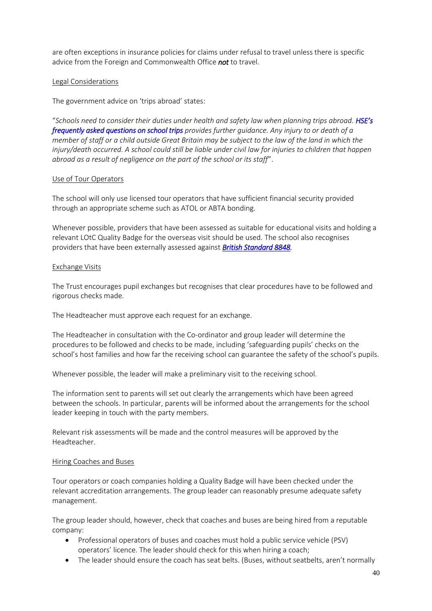are often exceptions in insurance policies for claims under refusal to travel unless there is specific advice from the Foreign and Commonwealth Office *not* to travel.

### Legal Considerations

The government advice on 'trips abroad' states:

"*Schools need to consider their duties under health and safety law when planning trips abroad. [HSE's](http://www.hse.gov.uk/services/education/faqs.htm)  [frequently asked questions on school trips](http://www.hse.gov.uk/services/education/faqs.htm) provides further guidance. Any injury to or death of a member of staff or a child outside Great Britain may be subject to the law of the land in which the injury/death occurred. A school could still be liable under civil law for injuries to children that happen abroad as a result of negligence on the part of the school or its staff*".

#### Use of Tour Operators

The school will only use licensed tour operators that have sufficient financial security provided through an appropriate scheme such as ATOL or ABTA bonding.

Whenever possible, providers that have been assessed as suitable for educational visits and holding a relevant LOtC Quality Badge for the overseas visit should be used. The school also recognises providers that have been externally assessed against *[British Standard 8848.](https://www.rgs.org/in-the-field/advice-training/resources-for-expeditions/bs-8848-british-standard/)*

#### Exchange Visits

The Trust encourages pupil exchanges but recognises that clear procedures have to be followed and rigorous checks made.

The Headteacher must approve each request for an exchange.

The Headteacher in consultation with the Co-ordinator and group leader will determine the procedures to be followed and checks to be made, including 'safeguarding pupils' checks on the school's host families and how far the receiving school can guarantee the safety of the school's pupils.

Whenever possible, the leader will make a preliminary visit to the receiving school.

The information sent to parents will set out clearly the arrangements which have been agreed between the schools. In particular, parents will be informed about the arrangements for the school leader keeping in touch with the party members.

Relevant risk assessments will be made and the control measures will be approved by the Headteacher.

#### Hiring Coaches and Buses

Tour operators or coach companies holding a Quality Badge will have been checked under the relevant accreditation arrangements. The group leader can reasonably presume adequate safety management.

The group leader should, however, check that coaches and buses are being hired from a reputable company:

- Professional operators of buses and coaches must hold a public service vehicle (PSV) operators' licence. The leader should check for this when hiring a coach;
- The leader should ensure the coach has seat belts. (Buses, without seatbelts, aren't normally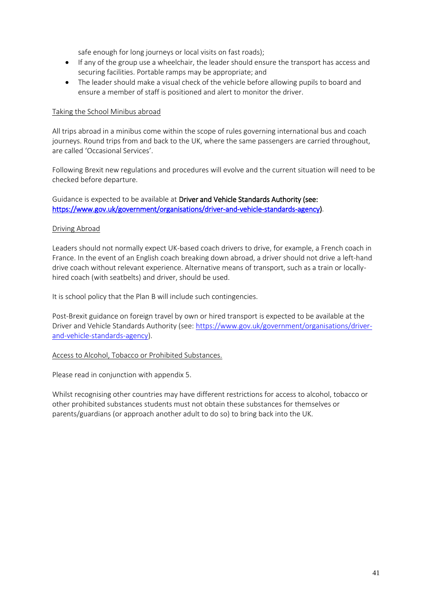safe enough for long journeys or local visits on fast roads);

- If any of the group use a wheelchair, the leader should ensure the transport has access and securing facilities. Portable ramps may be appropriate; and
- The leader should make a visual check of the vehicle before allowing pupils to board and ensure a member of staff is positioned and alert to monitor the driver.

#### Taking the School Minibus abroad

All trips abroad in a minibus come within the scope of rules governing international bus and coach journeys. Round trips from and back to the UK, where the same passengers are carried throughout, are called 'Occasional Services'.

Following Brexit new regulations and procedures will evolve and the current situation will need to be checked before departure.

Guidance is expected to be available at Driver and Vehicle Standards Authority (see: [https://www.gov.uk/government/organisations/driver-and-vehicle-standards-agency\)](https://www.gov.uk/government/organisations/driver-and-vehicle-standards-agency).

#### Driving Abroad

Leaders should not normally expect UK-based coach drivers to drive, for example, a French coach in France. In the event of an English coach breaking down abroad, a driver should not drive a left-hand drive coach without relevant experience. Alternative means of transport, such as a train or locallyhired coach (with seatbelts) and driver, should be used.

It is school policy that the Plan B will include such contingencies.

Post-Brexit guidance on foreign travel by own or hired transport is expected to be available at the Driver and Vehicle Standards Authority (see: [https://www.gov.uk/government/organisations/driver](https://www.gov.uk/government/organisations/driver-and-vehicle-standards-agency)[and-vehicle-standards-agency\)](https://www.gov.uk/government/organisations/driver-and-vehicle-standards-agency).

#### Access to Alcohol, Tobacco or Prohibited Substances.

Please read in conjunction with appendix 5.

Whilst recognising other countries may have different restrictions for access to alcohol, tobacco or other prohibited substances students must not obtain these substances for themselves or parents/guardians (or approach another adult to do so) to bring back into the UK.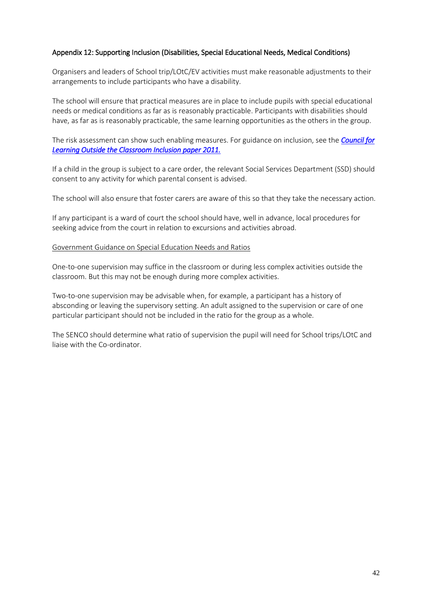### Appendix 12: Supporting Inclusion (Disabilities, Special Educational Needs, Medical Conditions)

Organisers and leaders of School trip/LOtC/EV activities must make reasonable adjustments to their arrangements to include participants who have a disability.

The school will ensure that practical measures are in place to include pupils with special educational needs or medical conditions as far as is reasonably practicable. Participants with disabilities should have, as far as is reasonably practicable, the same learning opportunities as the others in the group.

The risk assessment can show such enabling measures. For guidance on inclusion, see the *[Council for](https://www.lotc.org.uk/)  [Learning Outside the Classroom Inclusion paper 2011.](https://www.lotc.org.uk/)*

If a child in the group is subject to a care order, the relevant Social Services Department (SSD) should consent to any activity for which parental consent is advised.

The school will also ensure that foster carers are aware of this so that they take the necessary action.

If any participant is a ward of court the school should have, well in advance, local procedures for seeking advice from the court in relation to excursions and activities abroad.

#### Government Guidance on Special Education Needs and Ratios

One-to-one supervision may suffice in the classroom or during less complex activities outside the classroom. But this may not be enough during more complex activities.

Two-to-one supervision may be advisable when, for example, a participant has a history of absconding or leaving the supervisory setting. An adult assigned to the supervision or care of one particular participant should not be included in the ratio for the group as a whole.

The SENCO should determine what ratio of supervision the pupil will need for School trips/LOtC and liaise with the Co-ordinator.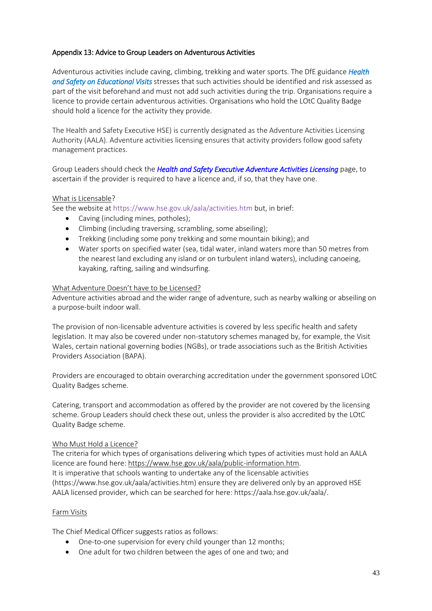### Appendix 13: Advice to Group Leaders on Adventurous Activities

Adventurous activities include caving, climbing, trekking and water sports. The DfE guidance *[Health](https://www.gov.uk/government/publications/health-and-safety-on-educational-visits/health-and-safety-on-educational-visits#adventure-activities-caving-climbing-trekking-and-watersports)  [and Safety on Educational Visits](https://www.gov.uk/government/publications/health-and-safety-on-educational-visits/health-and-safety-on-educational-visits#adventure-activities-caving-climbing-trekking-and-watersports)* stresses that such activities should be identified and risk assessed as part of the visit beforehand and must not add such activities during the trip. Organisations require a licence to provide certain adventurous activities. Organisations who hold the LOtC Quality Badge should hold a licence for the activity they provide.

The Health and Safety Executive HSE) is currently designated as the Adventure Activities Licensing Authority (AALA). Adventure activities licensing ensures that activity providers follow good safety management practices.

Group Leaders should check the *[Health and Safety Executive Adventure Activities Licensing](http://www.hse.gov.uk/aala/)* page, to ascertain if the provider is required to have a licence and, if so, that they have one.

#### What is Licensable?

See the website at https://www.hse.gov.uk/aala/activities.htm but, in brief:

- Caving (including mines, potholes);
- Climbing (including traversing, scrambling, some abseiling);
- Trekking (including some pony trekking and some mountain biking); and
- Water sports on specified water (sea, tidal water, inland waters more than 50 metres from the nearest land excluding any island or on turbulent inland waters), including canoeing, kayaking, rafting, sailing and windsurfing.

#### What Adventure Doesn't have to be Licensed?

Adventure activities abroad and the wider range of adventure, such as nearby walking or abseiling on a purpose-built indoor wall.

The provision of non-licensable adventure activities is covered by less specific health and safety legislation. It may also be covered under non-statutory schemes managed by, for example, the Visit Wales, certain national governing bodies (NGBs), or trade associations such as the British Activities Providers Association (BAPA).

Providers are encouraged to obtain overarching accreditation under the government sponsored LOtC Quality Badges scheme.

Catering, transport and accommodation as offered by the provider are not covered by the licensing scheme. Group Leaders should check these out, unless the provider is also accredited by the LOtC Quality Badge scheme.

#### Who Must Hold a Licence?

The criteria for which types of organisations delivering which types of activities must hold an AALA licence are found here[: https://www.hse.gov.uk/aala/public-information.htm.](https://www.hse.gov.uk/aala/public-information.htm) It is imperative that schools wanting to undertake any of the licensable activities (https://www.hse.gov.uk/aala/activities.htm) ensure they are delivered only by an approved HSE AALA licensed provider, which can be searched for here: https://aala.hse.gov.uk/aala/.

#### Farm Visits

The Chief Medical Officer suggests ratios as follows:

- One-to-one supervision for every child younger than 12 months;
- One adult for two children between the ages of one and two; and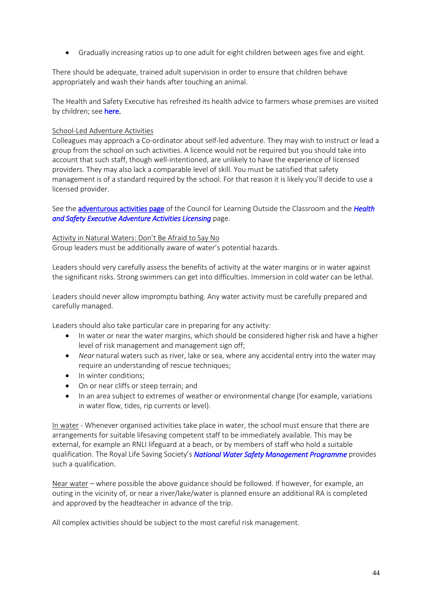• Gradually increasing ratios up to one adult for eight children between ages five and eight.

There should be adequate, trained adult supervision in order to ensure that children behave appropriately and wash their hands after touching an animal.

The Health and Safety Executive has refreshed its health advice to farmers whose premises are visited by children; see [here.](http://www.hse.gov.uk/agriculture/topics/children.htm)

### School-Led Adventure Activities

Colleagues may approach a Co-ordinator about self-led adventure. They may wish to instruct or lead a group from the school on such activities. A licence would not be required but you should take into account that such staff, though well-intentioned, are unlikely to have the experience of licensed providers. They may also lack a comparable level of skill. You must be satisfied that safety management is of a standard required by the school. For that reason it is likely you'll decide to use a licensed provider.

See th[e adventurous activities page](http://www.lotc.org.uk/what-is-lotc/where-lotc/expeditions/) of the Council for Learning Outside the Classroom and the *[Health](http://www.hse.gov.uk/aala/)  [and Safety Executive Adventure Activities Licensing](http://www.hse.gov.uk/aala/)* page.

### Activity in Natural Waters: Don't Be Afraid to Say No

Group leaders must be additionally aware of water's potential hazards.

Leaders should very carefully assess the benefits of activity at the water margins or in water against the significant risks. Strong swimmers can get into difficulties. Immersion in cold water can be lethal.

Leaders should never allow impromptu bathing. Any water activity must be carefully prepared and carefully managed.

Leaders should also take particular care in preparing for any activity:

- In water or near the water margins, which should be considered higher risk and have a higher level of risk management and management sign off;
- *Near* natural waters such as river, lake or sea, where any accidental entry into the water may require an understanding of rescue techniques;
- In winter conditions;
- On or near cliffs or steep terrain; and
- In an area subject to extremes of weather or environmental change (for example, variations in water flow, tides, rip currents or level).

In water - Whenever organised activities take place in water, the school must ensure that there are arrangements for suitable lifesaving competent staff to be immediately available. This may be external, for example an RNLI lifeguard at a beach, or by members of staff who hold a suitable qualification. The Royal Life Saving Society's *[National Water Safety Management Programme](http://www.rlss.org.uk/professional-qualifications/nwsmp/)* provides such a qualification.

Near water – where possible the above guidance should be followed. If however, for example, an outing in the vicinity of, or near a river/lake/water is planned ensure an additional RA is completed and approved by the headteacher in advance of the trip.

All complex activities should be subject to the most careful risk management.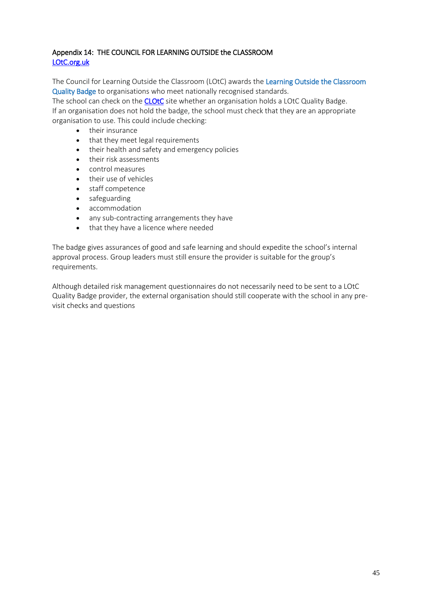# Appendix 14: THE COUNCIL FOR LEARNING OUTSIDE the CLASSROOM [LOtC.org.uk](https://www.lotc.org.uk/)

The Council for Learning Outside the Classroom (LOtC) awards the [Learning Outside the Classroom](http://lotcqualitybadge.org.uk/)  [Quality Badge](http://lotcqualitybadge.org.uk/) to organisations who meet nationally recognised standards.

The school can check on the **CLOtC** site whether an organisation holds a LOtC Quality Badge. If an organisation does not hold the badge, the school must check that they are an appropriate organisation to use. This could include checking:

- their insurance
- that they meet legal requirements
- their health and safety and emergency policies
- their risk assessments
- control measures
- their use of vehicles
- staff competence
- safeguarding
- accommodation
- any sub-contracting arrangements they have
- that they have a licence where needed

The badge gives assurances of good and safe learning and should expedite the school's internal approval process. Group leaders must still ensure the provider is suitable for the group's requirements.

Although detailed risk management questionnaires do not necessarily need to be sent to a LOtC Quality Badge provider, the external organisation should still cooperate with the school in any previsit checks and questions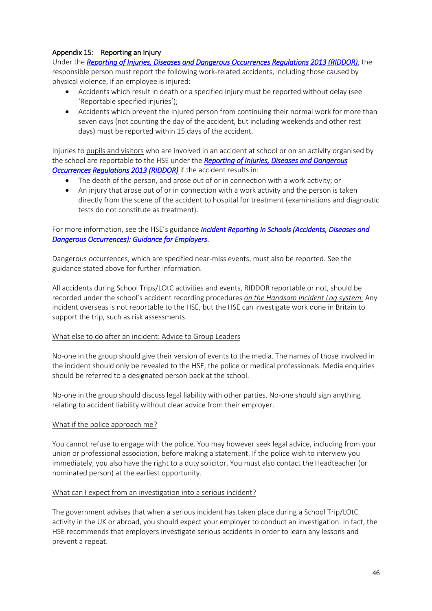# Appendix 15: Reporting an Injury

Under the *[Reporting of Injuries, Diseases and Dangerous Occurrences Regulations 2013 \(RIDDOR\)](https://www.hse.gov.uk/riddor/)*, the responsible person must report the following work-related accidents, including those caused by physical violence, if an employee is injured:

- Accidents which result in death or a specified injury must be reported without delay (see 'Reportable specified injuries');
- Accidents which prevent the injured person from continuing their normal work for more than seven days (not counting the day of the accident, but including weekends and other rest days) must be reported within 15 days of the accident.

Injuries to pupils and visitors who are involved in an accident at school or on an activity organised by the school are reportable to the HSE under the *[Reporting of Injuries, Diseases and Dangerous](https://www.hse.gov.uk/riddor/)  [Occurrences Regulations 2013 \(RIDDOR\)](https://www.hse.gov.uk/riddor/)* if the accident results in:

- The death of the person, and arose out of or in connection with a work activity; or
- An injury that arose out of or in connection with a work activity and the person is taken directly from the scene of the accident to hospital for treatment (examinations and diagnostic tests do not constitute as treatment).

# For more information, see the HSE's guidance *[Incident Reporting in Schools \(Accidents, Diseases and](http://www.hse.gov.uk/pubns/edis1.pdf)  [Dangerous Occurrences\): Guidance for Employers](http://www.hse.gov.uk/pubns/edis1.pdf)*.

Dangerous occurrences, which are specified near-miss events, must also be reported. See the guidance stated above for further information.

All accidents during School Trips/LOtC activities and events, RIDDOR reportable or not, should be recorded under the school's accident recording procedures *on the Handsam Incident Log system.* Any incident overseas is not reportable to the HSE, but the HSE can investigate work done in Britain to support the trip, such as risk assessments.

#### What else to do after an incident: Advice to Group Leaders

No-one in the group should give their version of events to the media. The names of those involved in the incident should only be revealed to the HSE, the police or medical professionals. Media enquiries should be referred to a designated person back at the school.

No-one in the group should discuss legal liability with other parties. No-one should sign anything relating to accident liability without clear advice from their employer.

#### What if the police approach me?

You cannot refuse to engage with the police. You may however seek legal advice, including from your union or professional association, before making a statement. If the police wish to interview you immediately, you also have the right to a duty solicitor. You must also contact the Headteacher (or nominated person) at the earliest opportunity.

#### What can I expect from an investigation into a serious incident?

The government advises that when a serious incident has taken place during a School Trip/LOtC activity in the UK or abroad, you should expect your employer to conduct an investigation. In fact, the HSE recommends that employers investigate serious accidents in order to learn any lessons and prevent a repeat.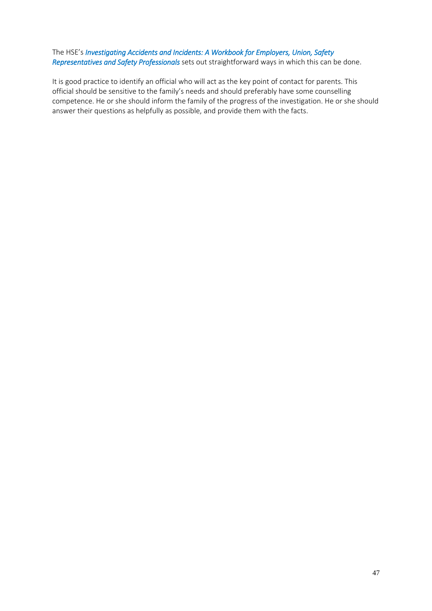# The HSE's *[Investigating Accidents and Incidents: A Workbook for Employers, Union, Safety](http://www.hse.gov.uk/pubns/books/hsg245.htm)  [Representatives and Safety Professionals](http://www.hse.gov.uk/pubns/books/hsg245.htm)* sets out straightforward ways in which this can be done.

It is good practice to identify an official who will act as the key point of contact for parents. This official should be sensitive to the family's needs and should preferably have some counselling competence. He or she should inform the family of the progress of the investigation. He or she should answer their questions as helpfully as possible, and provide them with the facts.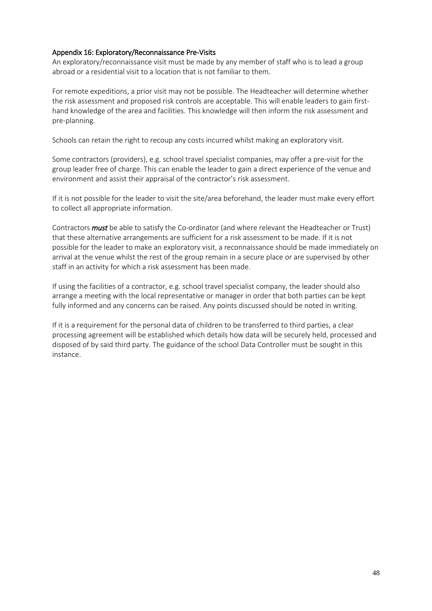### Appendix 16: Exploratory/Reconnaissance Pre-Visits

An exploratory/reconnaissance visit must be made by any member of staff who is to lead a group abroad or a residential visit to a location that is not familiar to them.

For remote expeditions, a prior visit may not be possible. The Headteacher will determine whether the risk assessment and proposed risk controls are acceptable. This will enable leaders to gain firsthand knowledge of the area and facilities. This knowledge will then inform the risk assessment and pre-planning.

Schools can retain the right to recoup any costs incurred whilst making an exploratory visit.

Some contractors (providers), e.g. school travel specialist companies, may offer a pre-visit for the group leader free of charge. This can enable the leader to gain a direct experience of the venue and environment and assist their appraisal of the contractor's risk assessment.

If it is not possible for the leader to visit the site/area beforehand, the leader must make every effort to collect all appropriate information.

Contractors *must* be able to satisfy the Co-ordinator (and where relevant the Headteacher or Trust) that these alternative arrangements are sufficient for a risk assessment to be made. If it is not possible for the leader to make an exploratory visit, a reconnaissance should be made immediately on arrival at the venue whilst the rest of the group remain in a secure place or are supervised by other staff in an activity for which a risk assessment has been made.

If using the facilities of a contractor, e.g. school travel specialist company, the leader should also arrange a meeting with the local representative or manager in order that both parties can be kept fully informed and any concerns can be raised. Any points discussed should be noted in writing.

If it is a requirement for the personal data of children to be transferred to third parties, a clear processing agreement will be established which details how data will be securely held, processed and disposed of by said third party. The guidance of the school Data Controller must be sought in this instance.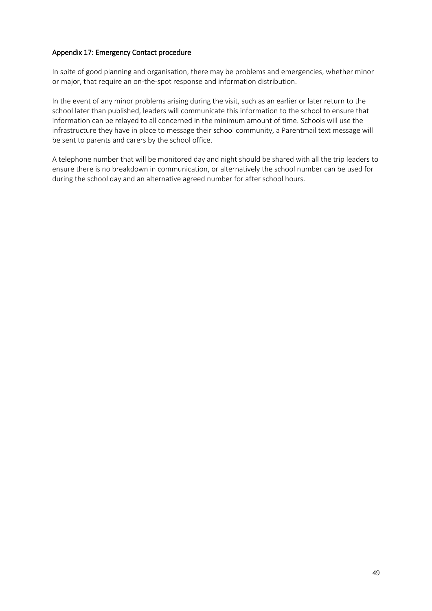### Appendix 17: Emergency Contact procedure

In spite of good planning and organisation, there may be problems and emergencies, whether minor or major, that require an on-the-spot response and information distribution.

In the event of any minor problems arising during the visit, such as an earlier or later return to the school later than published, leaders will communicate this information to the school to ensure that information can be relayed to all concerned in the minimum amount of time. Schools will use the infrastructure they have in place to message their school community, a Parentmail text message will be sent to parents and carers by the school office.

A telephone number that will be monitored day and night should be shared with all the trip leaders to ensure there is no breakdown in communication, or alternatively the school number can be used for during the school day and an alternative agreed number for after school hours.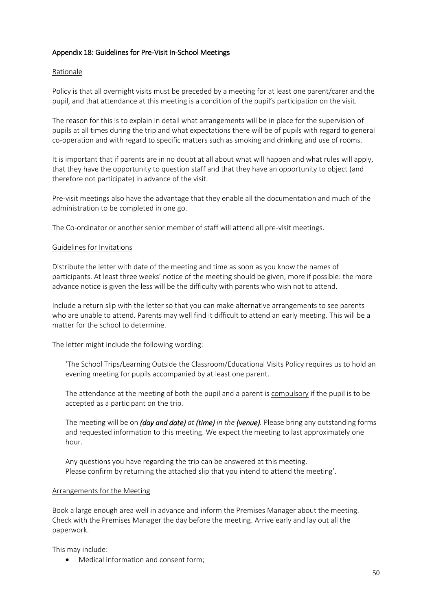### Appendix 18: Guidelines for Pre-Visit In-School Meetings

### Rationale

Policy is that all overnight visits must be preceded by a meeting for at least one parent/carer and the pupil, and that attendance at this meeting is a condition of the pupil's participation on the visit.

The reason for this is to explain in detail what arrangements will be in place for the supervision of pupils at all times during the trip and what expectations there will be of pupils with regard to general co-operation and with regard to specific matters such as smoking and drinking and use of rooms.

It is important that if parents are in no doubt at all about what will happen and what rules will apply, that they have the opportunity to question staff and that they have an opportunity to object (and therefore not participate) in advance of the visit.

Pre-visit meetings also have the advantage that they enable all the documentation and much of the administration to be completed in one go.

The Co-ordinator or another senior member of staff will attend all pre-visit meetings.

### Guidelines for Invitations

Distribute the letter with date of the meeting and time as soon as you know the names of participants. At least three weeks' notice of the meeting should be given, more if possible: the more advance notice is given the less will be the difficulty with parents who wish not to attend.

Include a return slip with the letter so that you can make alternative arrangements to see parents who are unable to attend. Parents may well find it difficult to attend an early meeting. This will be a matter for the school to determine.

The letter might include the following wording:

'The School Trips/Learning Outside the Classroom/Educational Visits Policy requires us to hold an evening meeting for pupils accompanied by at least one parent.

The attendance at the meeting of both the pupil and a parent is compulsory if the pupil is to be accepted as a participant on the trip.

The meeting will be on *(day and date) at (time) in the (venue).* Please bring any outstanding forms and requested information to this meeting. We expect the meeting to last approximately one hour.

Any questions you have regarding the trip can be answered at this meeting. Please confirm by returning the attached slip that you intend to attend the meeting'.

#### Arrangements for the Meeting

Book a large enough area well in advance and inform the Premises Manager about the meeting. Check with the Premises Manager the day before the meeting. Arrive early and lay out all the paperwork.

This may include:

• Medical information and consent form;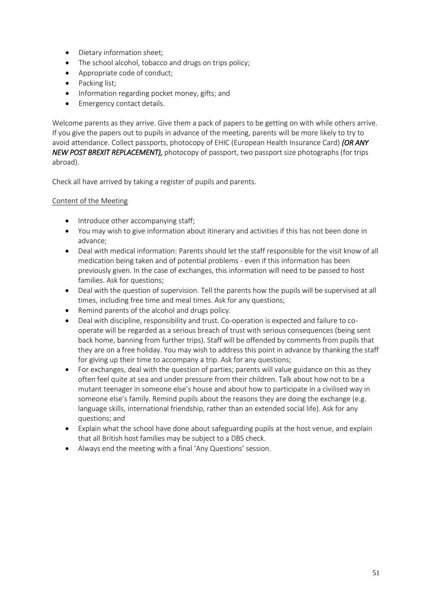- Dietary information sheet;
- The school alcohol, tobacco and drugs on trips policy:
- Appropriate code of conduct;
- Packing list;
- Information regarding pocket money, gifts; and
- Emergency contact details.

Welcome parents as they arrive. Give them a pack of papers to be getting on with while others arrive. If you give the papers out to pupils in advance of the meeting, parents will be more likely to try to avoid attendance. Collect passports, photocopy of EHIC (European Health Insurance Card) *(OR ANY NEW POST BREXIT REPLACEMENT),* photocopy of passport, two passport size photographs (for trips abroad).

Check all have arrived by taking a register of pupils and parents.

# Content of the Meeting

- Introduce other accompanying staff;
- You may wish to give information about itinerary and activities if this has not been done in advance;
- Deal with medical information: Parents should let the staff responsible for the visit know of all medication being taken and of potential problems - even if this information has been previously given. In the case of exchanges, this information will need to be passed to host families. Ask for questions;
- Deal with the question of supervision. Tell the parents how the pupils will be supervised at all times, including free time and meal times. Ask for any questions;
- Remind parents of the alcohol and drugs policy.
- Deal with discipline, responsibility and trust. Co-operation is expected and failure to cooperate will be regarded as a serious breach of trust with serious consequences (being sent back home, banning from further trips). Staff will be offended by comments from pupils that they are on a free holiday. You may wish to address this point in advance by thanking the staff for giving up their time to accompany a trip. Ask for any questions;
- For exchanges, deal with the question of parties; parents will value guidance on this as they often feel quite at sea and under pressure from their children. Talk about how not to be a mutant teenager in someone else's house and about how to participate in a civilised way in someone else's family. Remind pupils about the reasons they are doing the exchange (e.g. language skills, international friendship, rather than an extended social life). Ask for any questions; and
- Explain what the school have done about safeguarding pupils at the host venue, and explain that all British host families may be subject to a DBS check.
- Always end the meeting with a final 'Any Questions' session.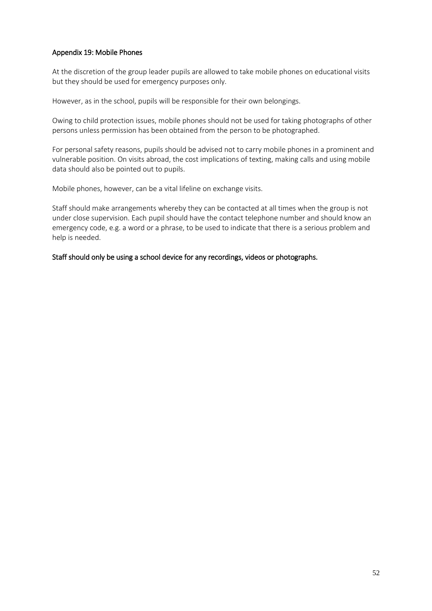### Appendix 19: Mobile Phones

At the discretion of the group leader pupils are allowed to take mobile phones on educational visits but they should be used for emergency purposes only.

However, as in the school, pupils will be responsible for their own belongings.

Owing to child protection issues, mobile phones should not be used for taking photographs of other persons unless permission has been obtained from the person to be photographed.

For personal safety reasons, pupils should be advised not to carry mobile phones in a prominent and vulnerable position. On visits abroad, the cost implications of texting, making calls and using mobile data should also be pointed out to pupils.

Mobile phones, however, can be a vital lifeline on exchange visits.

Staff should make arrangements whereby they can be contacted at all times when the group is not under close supervision. Each pupil should have the contact telephone number and should know an emergency code, e.g. a word or a phrase, to be used to indicate that there is a serious problem and help is needed.

Staff should only be using a school device for any recordings, videos or photographs.